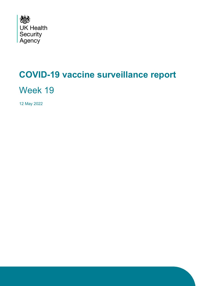

# <span id="page-0-0"></span>**COVID-19 vaccine surveillance report**

Week 19

12 May 2022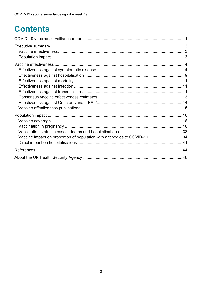## **Contents**

| Vaccine impact on proportion of population with antibodies to COVID-1934 |  |
|--------------------------------------------------------------------------|--|
|                                                                          |  |
|                                                                          |  |
|                                                                          |  |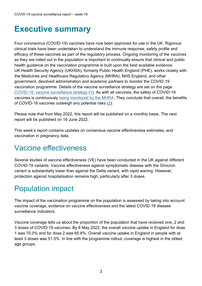### <span id="page-2-0"></span>**Executive summary**

Four coronavirus (COVID-19) vaccines have now been approved for use in the UK. Rigorous clinical trials have been undertaken to understand the immune response, safety profile and efficacy of these vaccines as part of the regulatory process. Ongoing monitoring of the vaccines as they are rolled out in the population is important to continually ensure that clinical and public health guidance on the vaccination programme is built upon the best available evidence. UK Health Security Agency (UKHSA), formerly Public Health England (PHE), works closely with the Medicines and Healthcare Regulatory Agency (MHRA), NHS England, and other government, devolved administration and academic partners to monitor the COVID-19 vaccination programme. Details of the vaccine surveillance strategy are set on the page [COVID-19: vaccine surveillance strategy](https://www.gov.uk/government/publications/covid-19-vaccine-surveillance-strategy) [\(1\)](#page-43-1). As with all vaccines, the safety of COVID-19 vaccines is continuously [being monitored by the MHRA.](https://www.gov.uk/government/publications/coronavirus-covid-19-vaccine-adverse-reactions/coronavirus-vaccine-summary-of-yellow-card-reporting) They conclude that overall, the benefits of COVID-19 vaccines outweigh any potential risks [\(2\)](#page-43-2).

Please note that from May 2022, this report will be published on a monthly basis. The next report will be published on 16 June 2022.

This week's report contains updates on consensus vaccine effectiveness estimates, and vaccination in pregnancy data.

### <span id="page-2-1"></span>Vaccine effectiveness

Several studies of vaccine effectiveness (VE) have been conducted in the UK against different COVID-19 variants. Vaccine effectiveness against symptomatic disease with the Omicron variant is substantially lower than against the Delta variant, with rapid waning. However, protection against hospitalisation remains high, particularly after 3 doses.

### <span id="page-2-2"></span>Population impact

The impact of the vaccination programme on the population is assessed by taking into account vaccine coverage, evidence on vaccine effectiveness and the latest COVID-19 disease surveillance indicators.

Vaccine coverage tells us about the proportion of the population that have received one, 2 and 3 doses of COVID-19 vaccines. By 8 May 2022, the overall vaccine uptake in England for dose 1 was 70.0% and for dose 2 was 65.8%. Overall vaccine uptake in England in people with at least 3 doses was 51.5%. In line with the programme rollout, coverage is highest in the oldest age groups.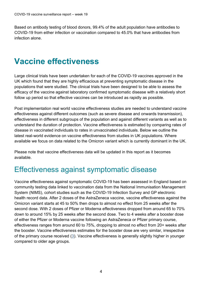<span id="page-3-0"></span>Based on antibody testing of blood donors, 99.4% of the adult population have antibodies to COVID-19 from either infection or vaccination compared to 45.0% that have antibodies from infection alone.

### **Vaccine effectiveness**

Large clinical trials have been undertaken for each of the COVID-19 vaccines approved in the UK which found that they are highly efficacious at preventing symptomatic disease in the populations that were studied. The clinical trials have been designed to be able to assess the efficacy of the vaccine against laboratory confirmed symptomatic disease with a relatively short follow up period so that effective vaccines can be introduced as rapidly as possible.

Post implementation real world vaccine effectiveness studies are needed to understand vaccine effectiveness against different outcomes (such as severe disease and onwards transmission), effectiveness in different subgroups of the population and against different variants as well as to understand the duration of protection. Vaccine effectiveness is estimated by comparing rates of disease in vaccinated individuals to rates in unvaccinated individuals. Below we outline the latest real-world evidence on vaccine effectiveness from studies in UK populations. Where available we focus on data related to the Omicron variant which is currently dominant in the UK.

Please note that vaccine effectiveness data will be updated in this report as it becomes available.

### <span id="page-3-1"></span>Effectiveness against symptomatic disease

Vaccine effectiveness against symptomatic COVID-19 has been assessed in England based on community testing data linked to vaccination data from the National Immunisation Management System (NIMS), cohort studies such as the COVID-19 Infection Survey and GP electronic health record data. After 2 doses of the AstraZeneca vaccine, vaccine effectiveness against the Omicron variant starts at 45 to 50% then drops to almost no effect from 25 weeks after the second dose. With 2 doses of Pfizer or Moderna effectiveness dropped from around 65 to 70% down to around 15% by 25 weeks after the second dose. Two to 4 weeks after a booster dose of either the Pfizer or Moderna vaccine following an AstraZeneca or Pfizer primary course, effectiveness ranges from around 60 to 75%, dropping to almost no effect from 20+ weeks after the booster. Vaccine effectiveness estimates for the booster dose are very similar, irrespective of the primary course received [\(3\)](#page-43-3). Vaccine effectiveness is generally slightly higher in younger compared to older age groups.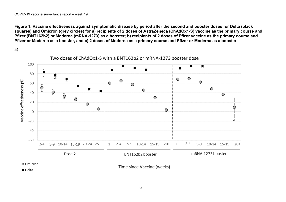**Figure 1. Vaccine effectiveness against symptomatic disease by period after the second and booster doses for Delta (black squares) and Omicron (grey circles) for a) recipients of 2 doses of AstraZeneca (ChAdOx1-S) vaccine as the primary course and Pfizer (BNT162b2) or Moderna (mRNA-1273) as a booster; b) recipients of 2 doses of Pfizer vaccine as the primary course and Pfizer or Moderna as a booster, and c) 2 doses of Moderna as a primary course and Pfizer or Moderna as a booster**

a)





Time since Vaccine (weeks)

5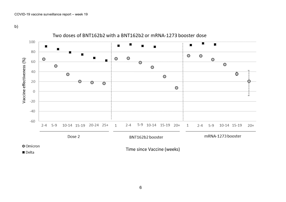b)



6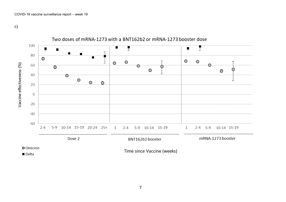c)

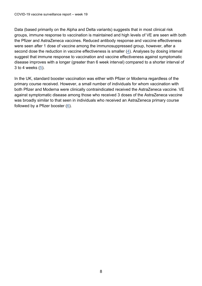Data (based primarily on the Alpha and Delta variants) suggests that in most clinical risk groups, immune response to vaccination is maintained and high levels of VE are seen with both the Pfizer and AstraZeneca vaccines. Reduced antibody response and vaccine effectiveness were seen after 1 dose of vaccine among the immunosuppressed group, however, after a second dose the reduction in vaccine effectiveness is smaller [\(4\)](#page-43-4). Analyses by dosing interval suggest that immune response to vaccination and vaccine effectiveness against symptomatic disease improves with a longer (greater than 6 week interval) compared to a shorter interval of 3 to 4 weeks [\(5\)](#page-43-5).

In the UK, standard booster vaccination was either with Pfizer or Moderna regardless of the primary course received. However, a small number of individuals for whom vaccination with both Pfizer and Moderna were clinically contraindicated received the AstraZeneca vaccine. VE against symptomatic disease among those who received 3 doses of the AstraZeneca vaccine was broadly similar to that seen in individuals who received an AstraZeneca primary course followed by a Pfizer booster [\(6\)](#page-43-6).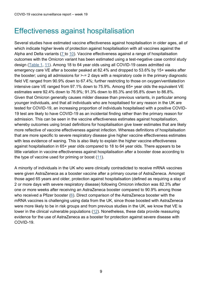### <span id="page-8-0"></span>Effectiveness against hospitalisation

Several studies have estimated vaccine effectiveness against hospitalisation in older ages, all of which indicate higher levels of protection against hospitalisation with all vaccines against the Alpha and Delta variants (7 to 10). Vaccine effectiveness against a range of hospitalisation outcomes with the Omicron variant has been estimated using a test-negative case control study design [\(Table 1,](#page-9-0) [11\)](#page-43-7). Among 18 to 64 year olds using all COVID-19 cases admitted via emergency care VE after a booster peaked at 82.4% and dropped to 53.6% by 15+ weeks after the booster; using all admissions for >-= 2 days with a respiratory code in the primary diagnostic field VE ranged from 90.9% down to 67.4%; further restricting to those on oxygen/ventilated/on intensive care VE ranged from 97.1% down to 75.9%. Among 65+ year olds the equivalent VE estimates were 92.4% down to 76.9%; 91.3% down to 85.3% and 95.8% down to 86.8%. Given that Omicron generally causes milder disease than previous variants, in particular among younger individuals, and that all individuals who are hospitalised for any reason in the UK are tested for COVID-19, an increasing proportion of individuals hospitalised with a positive COVID-19 test are likely to have COVID-19 as an incidental finding rather than the primary reason for admission. This can be seen in the vaccine effectiveness estimates against hospitalisation, whereby outcomes using broad definitions for hospitalisation give lower estimates that are likely more reflective of vaccine effectiveness against infection. Whereas definitions of hospitalisation that are more specific to severe respiratory disease give higher vaccine effectiveness estimates with less evidence of waning. This is also likely to explain the higher vaccine effectiveness against hospitalisation in 65+ year olds compared to 18 to 64 year olds. There appears to be little variation in vaccine effectiveness against hospitalisation after a booster dose according to the type of vaccine used for priming or boost  $(11)$ .

A minority of individuals in the UK who were clinically contradicted to receive mRNA vaccines were given AstraZeneca as a booster vaccine after a primary course of AstraZeneca. Amongst those aged 65 years and older, protection against hospitalisation (defined as requiring a stay of 2 or more days with severe respiratory disease) following Omicron infection was 82.3% after one or more weeks after receiving an AstraZeneca booster compared to 90.9% among those who received a Pfizer booster [\(6\)](#page-43-6). Direct comparison of the AstraZeneca booster with the mRNA vaccines is challenging using data from the UK, since those boosted with AstraZeneca were more likely to be in risk groups and from previous studies in the UK, we know that VE is lower in the clinical vulnerable populations [\(12\)](#page-35-0). Nonetheless, these data provide reassuring evidence for the use of AstraZeneca as a booster for protection against severe disease with COVID-19.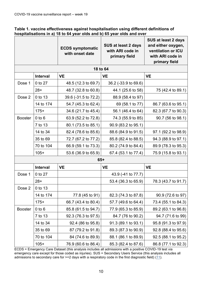<span id="page-9-0"></span>

| Table 1. vaccine effectiveness against hospitalisation using different definitions of |
|---------------------------------------------------------------------------------------|
| hospitalisations in a) 18 to 64 year olds and b) 65 year olds and over                |

|                |                 | <b>ECDS symptomatic</b><br>with onset date | <b>SUS at least 2 days</b><br>with ARI code in<br>primary field | <b>SUS at least 2 days</b><br>and either oxygen,<br>ventilation or ICU<br>with ARI code in<br>primary field |
|----------------|-----------------|--------------------------------------------|-----------------------------------------------------------------|-------------------------------------------------------------------------------------------------------------|
|                |                 |                                            | 18 to 64                                                        |                                                                                                             |
|                | <b>Interval</b> | <b>VE</b>                                  | <b>VE</b>                                                       | <b>VE</b>                                                                                                   |
| Dose 1         | 0 to 27         | 48.5 (12.3 to 69.7)                        | 36.2 (-33.9 to 69.6)                                            |                                                                                                             |
|                | $28+$           | 48.7 (32.8 to 60.8)                        | 44.1 (25.6 to 58)                                               | 75 (42.4 to 89.1)                                                                                           |
| Dose 2         | 0 to 13         | 39.6 (-31.5 to 72.2)                       | 88.9 (58.4 to 97)                                               |                                                                                                             |
|                | 14 to 174       | 54.7 (45.3 to 62.4)                        | 69 (58.1 to 77)                                                 | 86.7 (63.6 to 95.1)                                                                                         |
|                | $175+$          | 34.6 (21.7 to 45.4)                        | 56.1 (46.4 to 64)                                               | 82.3 (67.7 to 90.3)                                                                                         |
| <b>Booster</b> | $0$ to $6$      | 63.9 (52.2 to 72.8)                        | 74.3 (55.9 to 85)                                               | 90.7 (56 to 98.1)                                                                                           |
|                | 7 to 13         | 80.1 (73.5 to 85.1)                        | 90.9 (83.2 to 95.1)                                             |                                                                                                             |
|                | 14 to 34        | 82.4 (78.6 to 85.6)                        | 88.6 (84.9 to 91.5)                                             | 97.1 (92.2 to 98.9)                                                                                         |
|                | 35 to 69        | 72.7 (67.2 to 77.2)                        | 85.8 (82.4 to 88.5)                                             | 94.3 (88.9 to 97.1)                                                                                         |
|                | 70 to 104       | 66.9 (59.1 to 73.3)                        | 80.2 (74.9 to 84.4)                                             | 89.9 (78.3 to 95.3)                                                                                         |
|                | $105+$          | 53.6 (36.9 to 65.9)                        | 67.4 (53.1 to 77.4)                                             | 75.9 (15.8 to 93.1)                                                                                         |
|                |                 |                                            | $65+$                                                           |                                                                                                             |
|                | Interval        | <b>VE</b>                                  | <b>VE</b>                                                       | <b>VE</b>                                                                                                   |
| Dose 1         | 0 to 27         |                                            | 43.9 (-41 to 77.7)                                              |                                                                                                             |
|                | $28+$           |                                            | 53.4 (36.3 to 65.9)                                             | 78.3 (43.7 to 91.7)                                                                                         |
| Dose 2         | 0 to 13         |                                            |                                                                 |                                                                                                             |
|                | 14 to 174       | 77.8 (45 to 91)                            | 82.3 (74.3 to 87.8)                                             | 90.9 (72.6 to 97)                                                                                           |
|                | $175+$          | 66.7 (43.4 to 80.4)                        | 57.7 (49.6 to 64.4)                                             | 73.4 (55.1 to 84.3)                                                                                         |
| <b>Booster</b> | $0$ to $6$      | 85.8 (61.5 to 94.7)                        | 77.9 (65.3 to 85.9)                                             | 89.2 (63.1 to 96.8)                                                                                         |
|                | 7 to 13         | 92.3 (76.3 to 97.5)                        | 84.7 (76 to 90.2)                                               | 94.7 (71.6 to 99)                                                                                           |
|                | 14 to 34        | 92.4 (86 to 95.8)                          | 91.3 (89.1 to 93.1)                                             | 95.8 (91.3 to 97.9)                                                                                         |
|                | 35 to 69        | 87 (79.2 to 91.8)                          | 89.3 (87.3 to 90.9)                                             | 92.8 (88.4 to 95.6)                                                                                         |
|                | 70 to 104       | 84 (74.6 to 89.9)                          | 88.1 (86.1 to 89.9)                                             | 92.5 (88.1 to 95.2)                                                                                         |
|                | $105+$          | 76.9 (60.6 to 86.4)                        | 85.3 (82.4 to 87.6)                                             | 86.8 (77.1 to 92.3)                                                                                         |

ECDS = Emergency Care Dataset (this analysis includes all admissions with a positive COVID-19 test via emergency care except for those coded as injuries). SUS = Secondary Users Service (this analysis includes all admissions to secondary care for  $>=$  2 days with a respiratory code in the first diagnostic field) [\(11\)](#page-43-7).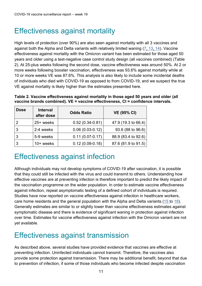### <span id="page-10-0"></span>Effectiveness against mortality

High levels of protection (over 90%) are also seen against mortality with all 3 vaccines and against both the Alpha and Delta variants with relatively limited waning (7, [13,](#page-44-0) [14\)](#page-44-1). Vaccine effectiveness against mortality with the Omicron variant has been estimated for those aged 50 years and older using a test-negative case control study design (all vaccines combined) (Table 2). At 25-plus weeks following the second dose, vaccine effectiveness was around 50%. At 2 or more weeks following booster vaccination, effectiveness was 93.6% against mortality while at 10 or more weeks VE was 87.6%. This analysis is also likely to include some incidental deaths of individuals who died with COVID-19 as opposed to from COVID-19, and we suspect the true VE against mortality is likely higher than the estimates presented here.

| <b>Dose</b>    | <b>Interval</b><br>after dose | <b>Odds Ratio</b>   | <b>VE (95% CI)</b>  |
|----------------|-------------------------------|---------------------|---------------------|
| $\overline{2}$ | 25+ weeks                     | $0.52(0.34 - 0.81)$ | 47.9 (19.3 to 66.4) |
| $\overline{3}$ | 2-4 weeks                     | $0.06(0.03-0.12)$   | 93.6 (88 to 96.6)   |
| $\overline{3}$ | 5-9 weeks                     | $0.11(0.07 - 0.17)$ | 88.9 (83.4 to 92.6) |
| $\overline{3}$ | $10+$ weeks                   | $0.12(0.09-0.18)$   | 87.6 (81.9 to 91.5) |

**Table 2. Vaccine effectiveness against mortality in those aged 50 years and older (all vaccine brands combined). VE = vaccine effectiveness, CI = confidence intervals.**

### <span id="page-10-1"></span>Effectiveness against infection

Although individuals may not develop symptoms of COVID-19 after vaccination, it is possible that they could still be infected with the virus and could transmit to others. Understanding how effective vaccines are at preventing infection is therefore important to predict the likely impact of the vaccination programme on the wider population. In order to estimate vaccine effectiveness against infection, repeat asymptomatic testing of a defined cohort of individuals is required. Studies have now reported on vaccine effectiveness against infection in healthcare workers, care home residents and the general population with the Alpha and Delta variants [\(15](#page-44-2) to 18). Generally estimates are similar to or slightly lower than vaccine effectiveness estimates against symptomatic disease and there is evidence of significant waning in protection against infection over time. Estimates for vaccine effectiveness against infection with the Omicron variant are not yet available.

### <span id="page-10-2"></span>Effectiveness against transmission

As described above, several studies have provided evidence that vaccines are effective at preventing infection. Uninfected individuals cannot transmit. Therefore, the vaccines also provide some protection against transmission. There may be additional benefit, beyond that due to prevention of infection, if some of those individuals who become infected despite vaccination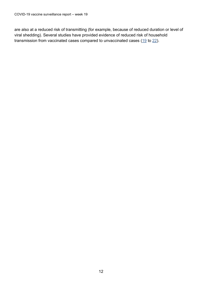are also at a reduced risk of transmitting (for example, because of reduced duration or level of viral shedding). Several studies have provided evidence of reduced risk of household transmission from vaccinated cases compared to unvaccinated cases [\(19](#page-44-3) to 22).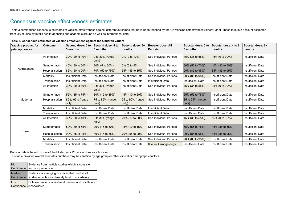### <span id="page-12-0"></span>Consensus vaccine effectiveness estimates

Table 3 summarises consensus estimates of vaccine effectiveness against different outcomes that have been reached by the UK Vaccine Effectiveness Expert Panel. These take into account estimates from UK studies by public health agencies and academic groups as well as international data.

|  |  |  | Table 3. Consensus estimates of vaccine effectiveness against the Omicron variant |
|--|--|--|-----------------------------------------------------------------------------------|
|  |  |  |                                                                                   |

| Vaccine product for<br>primary course | <b>Outcome</b>      | Second dose: 0 to<br>3 months | Second dose: 4 to<br>6 months | Second dose: 6+<br>months | <b>Booster dose: All</b><br><b>Periods</b> | Booster dose: 0 to<br>3 months | Booster dose: 4 to 6<br>months | Booster dose: 6+<br>months |
|---------------------------------------|---------------------|-------------------------------|-------------------------------|---------------------------|--------------------------------------------|--------------------------------|--------------------------------|----------------------------|
|                                       | All Infection       | 30% (20 to 40%)               | 0 to $30\%$ (range<br>only)   | 0% (0 to 10%)             | See Individual Periods                     | 45% (35 to 55%)                | 15% (0 to 30%)                 | <b>Insufficient Data</b>   |
|                                       | Symptomatic         | 40% (30 to 50%)               | 20% (5 to 30%)                | 5% (0 to 5%)              | See Individual Periods                     | 60% (50 to 70%)                | 40% (30 to 50%)                | <b>Insufficient Data</b>   |
| AstraZeneca                           | Hospitalisation     | 85% (60 to 90%)               | 70% (50 to 75%)               | 65% (45 to 85%)           | See Individual Periods                     | 90% (85 to 95%)                | 85% (85 to 95%)                | <b>Insufficient Data</b>   |
|                                       | Mortality           | <b>Insufficient Data</b>      | <b>Insufficient Data</b>      | <b>Insufficient Data</b>  | See Individual Periods                     | 90% (85 to 98%)                | <b>Insufficient Data</b>       | <b>Insufficient Data</b>   |
|                                       | Transmission        | <b>Insufficient Data</b>      | <b>Insufficient Data</b>      | <b>Insufficient Data</b>  | <b>Insufficient Data</b>                   | <b>Insufficient Data</b>       | <b>Insufficient Data</b>       | <b>Insufficient Data</b>   |
|                                       | All Infection       | 30% (20 to 40%)               | 0 to $30\%$ (range<br>only)   | <b>Insufficient Data</b>  | See Individual Periods                     | 45% (35 to 55%)                | 15% (0 to 30%)                 | <b>Insufficient Data</b>   |
|                                       | Symptomatic         | 55% (35 to 75%)               | 30% (15 to 35%)               | 15% (10 to 20%)           | See Individual Periods                     | 65% (55 to 75%)                | <b>Insufficient Data</b>       | <b>Insufficient Data</b>   |
| Moderna                               | Hospitalisation     | 85 to 95% (range<br>only)     | 75 to 85% (range<br>only)     | 55 to 90% (range<br>only) | See Individual Periods                     | 85 to 95% (range<br>only)      | <b>Insufficient Data</b>       | <b>Insufficient Data</b>   |
|                                       | Mortality           | <b>Insufficient Data</b>      | <b>Insufficient Data</b>      | <b>Insufficient Data</b>  | <b>Insufficient Data</b>                   | <b>Insufficient Data</b>       | <b>Insufficient Data</b>       | <b>Insufficient Data</b>   |
|                                       | <b>Transmission</b> | <b>Insufficient Data</b>      | <b>Insufficient Data</b>      | <b>Insufficient Data</b>  | <b>Insufficient Data</b>                   | <b>Insufficient Data</b>       | <b>Insufficient Data</b>       | <b>Insufficient Data</b>   |
| Pfizer                                | All Infection       | 30% (20 to 40%)               | 0 to $30\%$ (range<br>only)   | 20% (10 to 30%)           | See Individual Periods                     | 45% (35 to 55%)                | 15% (0 to 30%)                 | <b>Insufficient Data</b>   |
|                                       | Symptomatic         | 50% (30 to 65%)               | 20% (15 to 30%)               | 15% (10 to 15%)           | See Individual Periods                     | 65% (55 to 75%)                | 45% (35 to 55%)                | <b>Insufficient Data</b>   |
|                                       | Hospitalisation     | 90% (85 to 95%)               | 80% (75 to 85%)               | 70% (55 to 90%)           | See Individual Periods                     | 90% (85 to 95%)                | 85% (85 to 95%)                | <b>Insufficient Data</b>   |
|                                       | Mortality           | <b>Insufficient Data</b>      | <b>Insufficient Data</b>      | <b>Insufficient Data</b>  | See Individual Periods                     | 90% (85 to 98%)                | <b>Insufficient Data</b>       | <b>Insufficient Data</b>   |
|                                       | Transmission        | <b>Insufficient Data</b>      | <b>Insufficient Data</b>      | <b>Insufficient Data</b>  | 0 to 25% (range only)                      | <b>Insufficient Data</b>       | <b>Insufficient Data</b>       | <b>Insufficient Data</b>   |

Booster data is based on use of the Moderna or Pfizer vaccines as a booster.

This table provides overall estimates but there may be variation by age group or other clinical or demographic factors.

| High          | Evidence from multiple studies which is consistent                                   |
|---------------|--------------------------------------------------------------------------------------|
| Confidence    | and comprehensive                                                                    |
| <b>Medium</b> | Evidence is emerging from a limited number of                                        |
| Confidence    | studies or with a moderately level of uncertainty                                    |
| Low           | Little evidence is available at present and results are<br>Confidence   inconclusive |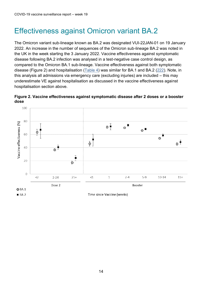### <span id="page-13-0"></span>Effectiveness against Omicron variant BA.2

The Omicron variant sub-lineage known as BA.2 was designated VUI-22JAN-01 on 19 January 2022. An increase in the number of sequences of the Omicron sub-lineage BA.2 was noted in the UK in the week starting the 3 January 2022. Vaccine effectiveness against symptomatic disease following BA.2 infection was analysed in a test-negative case control design, as compared to the Omicron BA.1 sub-lineage. Vaccine effectiveness against both symptomatic disease (Figure 2) and hospitalisation [\(Table 4\)](#page-14-1) was similar for BA.1 and BA.2 [\(222](#page-44-4)). Note, in this analysis all admissions via emergency care (excluding injuries) are included – this may underestimate VE against hospitalisation as discussed in the vaccine effectiveness against hospitalisation section above.



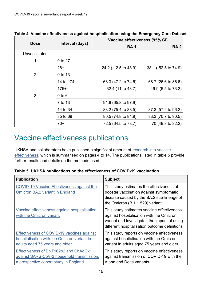|              |                 | Vaccine effectiveness (95% CI) |                      |  |
|--------------|-----------------|--------------------------------|----------------------|--|
| <b>Dose</b>  | Interval (days) | <b>BA.1</b>                    | <b>BA.2</b>          |  |
| Unvaccinated |                 |                                |                      |  |
| 1            | 0 to 27         |                                |                      |  |
|              | $28+$           | 24.2 (-12.5 to 48.9)           | 38.1 (-52.5 to 74.9) |  |
| 2            | 0 to 13         |                                |                      |  |
|              | 14 to 174       | 63.3 (47.2 to 74.6)            | 68.7 (26.6 to 86.6)  |  |
|              | $175+$          | 32.4 (11 to 48.7)              | 49.9 (6.5 to 73.2)   |  |
| 3            | $0$ to $6$      |                                |                      |  |
|              | 7 to 13         | 91.6 (65.8 to 97.9)            |                      |  |
|              | 14 to 34        | 83.2 (75.4 to 88.5)            | 87.3 (57.2 to 96.2)  |  |
|              | 35 to 69        | 80.5 (74.8 to 84.9)            | 83.3 (70.7 to 90.5)  |  |
|              | $70+$           | 72.5 (64.5 to 78.7)            | 70 (49.3 to 82.2)    |  |

<span id="page-14-1"></span>**Table 4. Vaccine effectiveness against hospitalisation using the Emergency Care Dataset**

### <span id="page-14-0"></span>Vaccine effectiveness publications

UKHSA and collaborators have published a significant amount of [research into vaccine](https://www.gov.uk/government/publications/phe-monitoring-of-the-effectiveness-of-covid-19-vaccination)  [effectiveness,](https://www.gov.uk/government/publications/phe-monitoring-of-the-effectiveness-of-covid-19-vaccination) which is summarised on pages 4 to 14. The publications listed in table 5 provide further results and details on the methods used.

| Table 5. UKHSA publications on the effectiveness of COVID-19 vaccination |
|--------------------------------------------------------------------------|
|--------------------------------------------------------------------------|

| <b>Publication</b>                                                                                                           | <b>Subject</b>                                                                                                                                                                          |
|------------------------------------------------------------------------------------------------------------------------------|-----------------------------------------------------------------------------------------------------------------------------------------------------------------------------------------|
| COVID-19 Vaccine Effectiveness against the<br><b>Omicron BA.2 variant in England</b>                                         | This study estimates the effectiveness of<br>booster vaccination against symptomatic<br>disease caused by the BA.2 sub-lineage of<br>the Omicron (B.1.1.529) variant.                   |
| Vaccine effectiveness against hospitalisation<br>with the Omicron variant                                                    | This study estimates vaccine effectiveness<br>against hospitalisation with the Omicron<br>variant and investigates the impact of using<br>different hospitalisation outcome definitions |
| Effectiveness of COVID-19 vaccines against<br>hospitalisation with the Omicron variant in<br>adults aged 75 years and older  | This study reports on vaccine effectiveness<br>against hospitalisation with the Omicron<br>variant in adults aged 75 years and older.                                                   |
| Effectiveness of BNT162b2 and ChAdOx1<br>against SARS-CoV-2 household transmission:<br>a prospective cohort study in England | This study reports on vaccine effectiveness<br>against transmission of COVID-19 with the<br>Alpha and Delta variants.                                                                   |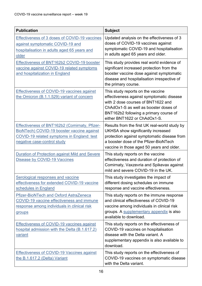| <b>Publication</b>                                                                                                                                                              | <b>Subject</b>                                                                                                                                                                                                                          |
|---------------------------------------------------------------------------------------------------------------------------------------------------------------------------------|-----------------------------------------------------------------------------------------------------------------------------------------------------------------------------------------------------------------------------------------|
| Effectiveness of 3 doses of COVID-19 vaccines<br>against symptomatic COVID-19 and<br>hospitalisation in adults aged 65 years and<br>older                                       | Updated analysis on the effectiveness of 3<br>doses of COVID-19 vaccines against<br>symptomatic COVID-19 and hospitalisation<br>in adults aged 65 years and older.                                                                      |
| Effectiveness of BNT162b2 COVID-19 booster<br>vaccine against COVID-19 related symptoms<br>and hospitalization in England                                                       | This study provides real world evidence of<br>significant increased protection from the<br>booster vaccine dose against symptomatic<br>disease and hospitalisation irrespective of<br>the primary course.                               |
| <b>Effectiveness of COVID-19 vaccines against</b><br>the Omicron (B.1.1.529) variant of concern                                                                                 | This study reports on the vaccine<br>effectiveness against symptomatic disease<br>with 2 dose courses of BNT1622 and<br>ChAdOx1-S as well as booster doses of<br>BNT162b2 following a primary course of<br>either BNT1622 or ChAdOx1-S. |
| Effectiveness of BNT162b2 (Comirnaty, Pfizer-<br>BioNTech) COVID-19 booster vaccine against<br><b>COVID-19 related symptoms in England: test</b><br>negative case-control study | Results from the first UK real-world study by<br>UKHSA show significantly increased<br>protection against symptomatic disease from<br>a booster dose of the Pfizer-BioNTech<br>vaccine in those aged 50 years and older.                |
| Duration of Protection against Mild and Severe<br>Disease by COVID-19 Vaccines                                                                                                  | This study reports on the vaccine<br>effectiveness and duration of protection of<br>Comirnaty, Vaxzevria and Spikevax against<br>mild and severe COVID-19 in the UK.                                                                    |
| <b>Serological responses and vaccine</b><br>effectiveness for extended COVID-19 vaccine<br>schedules in England                                                                 | This study investigates the impact of<br>different dosing schedules on immune<br>response and vaccine effectiveness.                                                                                                                    |
| <b>Pfizer-BioNTech and Oxford AstraZeneca</b><br><b>COVID-19 vaccine effectiveness and immune</b><br>response among individuals in clinical risk<br>groups                      | This study reports on the immune response<br>and clinical effectiveness of COVID-19<br>vaccine among individuals in clinical risk<br>groups. A supplementary appendix is also<br>available to download.                                 |
| Effectiveness of COVID-19 vaccines against<br>hospital admission with the Delta (B.1.617.2)<br>variant                                                                          | This study reports on the effectiveness of<br>COVID-19 vaccines on hospitalisation<br>disease with the Delta variant. A<br>supplementary appendix is also available to<br>download.                                                     |
| <b>Effectiveness of COVID-19 Vaccines against</b><br>the B.1.617.2 (Delta) Variant                                                                                              | This study reports on the effectiveness of<br>COVID-19 vaccines on symptomatic disease<br>with the Delta variant.                                                                                                                       |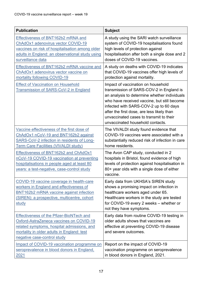| <b>Publication</b>                                                                                                                                                                                                    | <b>Subject</b>                                                                                                                                                                                                                                                                                                                                       |
|-----------------------------------------------------------------------------------------------------------------------------------------------------------------------------------------------------------------------|------------------------------------------------------------------------------------------------------------------------------------------------------------------------------------------------------------------------------------------------------------------------------------------------------------------------------------------------------|
| Effectiveness of BNT162b2 mRNA and<br>ChAdOx1 adenovirus vector COVID-19<br>vaccines on risk of hospitalisation among older<br>adults in England: an observational study using<br>surveillance data                   | A study using the SARI watch surveillance<br>system of COVID-19 hospitalisations found<br>high levels of protection against<br>hospitalisation after both a single dose and 2<br>doses of COVID-19 vaccines.                                                                                                                                         |
| Effectiveness of BNT162b2 mRNA vaccine and<br>ChAdOx1 adenovirus vector vaccine on<br>mortality following COVID-19                                                                                                    | A study on deaths with COVID-19 indicates<br>that COVID-19 vaccines offer high levels of<br>protection against mortality.                                                                                                                                                                                                                            |
| <b>Effect of Vaccination on Household</b><br>Transmission of SARS-CoV-2 in England                                                                                                                                    | Impact of vaccination on household<br>transmission of SARS-COV-2 in England is<br>an analysis to determine whether individuals<br>who have received vaccine, but still become<br>infected with SARS-COV-2 up to 60 days<br>after the first dose, are less likely than<br>unvaccinated cases to transmit to their<br>unvaccinated household contacts. |
| Vaccine effectiveness of the first dose of<br>ChAdOx1 nCoV-19 and BNT162b2 against<br>SARS-CoV-2 infection in residents of Long-<br><u> Term Care Facilities (VIVALDI study)</u>                                      | The VIVALDI study found evidence that<br>COVID-19 vaccines were associated with a<br>substantially reduced risk of infection in care<br>home residents.                                                                                                                                                                                              |
| Effectiveness of BNT162b2 and ChAdOx1<br>nCoV-19 COVID-19 vaccination at preventing<br>hospitalisations in people aged at least 80<br>years: a test-negative, case-control study                                      | The Avon CAP study, conducted in 2<br>hospitals in Bristol, found evidence of high<br>levels of protection against hospitalisation in<br>80+ year olds with a single dose of either<br>vaccine.                                                                                                                                                      |
| COVID-19 vaccine coverage in health-care<br>workers in England and effectiveness of<br>BNT162b2 mRNA vaccine against infection<br>(SIREN): a prospective, multicentre, cohort<br>study                                | Early data from UKHSA's SIREN study<br>shows a promising impact on infection in<br>healthcare workers aged under 65.<br>Healthcare workers in the study are tested<br>for COVID-19 every 2 weeks - whether or<br>not they have symptoms.                                                                                                             |
| <b>Effectiveness of the Pfizer-BioNTech and</b><br>Oxford-AstraZeneca vaccines on COVID-19<br>related symptoms, hospital admissions, and<br>mortality in older adults in England: test<br>negative case-control study | Early data from routine COVID-19 testing in<br>older adults shows that vaccines are<br>effective at preventing COVID-19 disease<br>and severe outcomes.                                                                                                                                                                                              |
| Impact of COVID-19 vaccination programme on<br>seroprevalence in blood donors in England,<br>2021                                                                                                                     | Report on the impact of COVID-19<br>vaccination programme on seroprevalence<br>in blood donors in England, 2021.                                                                                                                                                                                                                                     |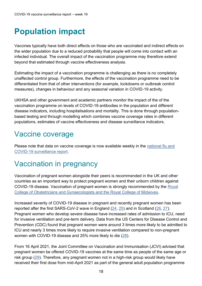# <span id="page-17-0"></span>**Population impact**

Vaccines typically have both direct effects on those who are vaccinated and indirect effects on the wider population due to a reduced probability that people will come into contact with an infected individual. The overall impact of the vaccination programme may therefore extend beyond that estimated through vaccine effectiveness analysis.

Estimating the impact of a vaccination programme is challenging as there is no completely unaffected control group. Furthermore, the effects of the vaccination programme need to be differentiated from that of other interventions (for example, lockdowns or outbreak control measures), changes in behaviour and any seasonal variation in COVID-19 activity.

UKHSA and other government and academic partners monitor the impact of the of the vaccination programme on levels of COVID-19 antibodies in the population and different disease indicators, including hospitalisations and mortality. This is done through populationbased testing and through modelling which combines vaccine coverage rates in different populations, estimates of vaccine effectiveness and disease surveillance indicators.

### <span id="page-17-1"></span>Vaccine coverage

Please note that data on vaccine coverage is now available weekly in the [national flu and](https://www.gov.uk/government/statistics/national-flu-and-covid-19-surveillance-reports-2021-to-2022-season)  [COVID-19 surveillance report.](https://www.gov.uk/government/statistics/national-flu-and-covid-19-surveillance-reports-2021-to-2022-season)

### <span id="page-17-2"></span>Vaccination in pregnancy

Vaccination of pregnant women alongside their peers is recommended in the UK and other countries as an important way to protect pregnant women and their unborn children against COVID-19 disease. Vaccination of pregnant women is strongly recommended by the [Royal](https://www.rcog.org.uk/en/guidelines-research-services/guidelines/coronavirus-pregnancy/)  [College of Obstetricians and Gynaecologists and the Royal College of Midwives.](https://www.rcog.org.uk/en/guidelines-research-services/guidelines/coronavirus-pregnancy/)

Increased severity of COVID-19 disease in pregnant and recently pregnant women has been reported after the first SARS-CoV-2 wave in England  $(24, 25)$  $(24, 25)$  and in Scotland  $(26, 27)$  $(26, 27)$ . Pregnant women who develop severe disease have increased rates of admission to ICU, need for invasive ventilation and pre-term delivery. Data from the US Centers for Disease Control and Prevention (CDC) found that pregnant women were around 3 times more likely to be admitted to ICU and nearly 3 times more likely to require invasive ventilation compared to non-pregnant women with COVID-19 disease and 25% more likely to die [\(28\)](#page-45-3).

From 16 April 2021, the Joint Committee on Vaccination and Immunisation (JCVI) advised that pregnant women be offered COVID-19 vaccines at the same time as people of the same age or risk group [\(29\)](#page-45-4). Therefore, any pregnant women not in a high-risk group would likely have received their first dose from mid-April 2021 as part of the general adult population programme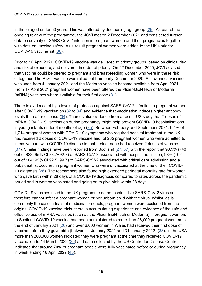in those aged under 50 years. This was offered by decreasing age group [\(29\)](#page-45-4). As part of the ongoing review of the programme, the JCVI met on 2 December 2021 and considered further data on severity of SARS-CoV-2 infection in pregnant women and their pregnancies together with data on vaccine safety. As a result pregnant women were added to the UK's priority COVID-19 vaccine list [\(30\)](#page-45-5).

Prior to 16 April 2021, COVID-19 vaccine was delivered to priority groups, based on clinical risk and risk of exposure, and delivered in order of priority. On 22 December 2020, JCVI advised that vaccine could be offered to pregnant and breast-feeding women who were in these risk categories The Pfizer vaccine was rolled out from early December 2020, AstraZeneca vaccine was used from 4 January 2021 and the Moderna vaccine became available from April 2021. From 17 April 2021 pregnant women have been offered the Pfizer-BioNTech or Moderna (mRNA) vaccines where available for their first dose [\(31\)](#page-45-6).

There is evidence of high levels of protection against SARS-CoV-2 infection in pregnant women after COVID-19 vaccination [\(32](#page-45-7) to [34\)](#page-45-8) and evidence that vaccination induces higher antibody levels than after disease [\(34\)](#page-45-8). There is also evidence from a recent US study that 2-doses of mRNA COVID-19 vaccination during pregnancy might help prevent COVID-19 hospitalisations in young infants under 6 months of age [\(35\)](#page-45-9). Between February and September 2021, 0.4% of 1,714 pregnant women with COVID-19 symptoms who required hospital treatment in the UK had received 2 doses of COVID-19 vaccine and, of 235 pregnant women who were admitted to intensive care with COVID-19 disease in that period, none had received 2 doses of vaccine [\(37\)](#page-45-10). Similar findings have been reported from Scotland [\(27,](#page-45-2) [37\)](#page-45-10) with the report that 90.9% (748 out of 823; 95% CI 88.7−92.7) of SARS-CoV-2 associated with hospital admission, 98% (102 out of 104; 95% CI 92.5−99.7) of SARS-CoV-2 associated with critical care admission and all baby deaths, occurred in pregnant women who were unvaccinated at the time of their COVID-19 diagnosis [\(26\)](#page-45-1). The researchers also found high extended perinatal mortality rate for women who gave birth within 28 days of a COVID-19 diagnosis compared to rates across the pandemic period and in women vaccinated and going on to give birth within 28 days.

COVID-19 vaccines used in the UK programme do not contain live SARS-CoV-2 virus and therefore cannot infect a pregnant woman or her unborn child with the virus. Whilst, as is commonly the case in trials of medicinal products, pregnant women were excluded from the original COVID-19 vaccine trials, there is accumulating experience and evidence of the safe and effective use of mRNA vaccines (such as the Pfizer-BioNTech or Moderna) in pregnant women. In Scotland COVID-19 vaccine had been administered to more than 28,000 pregnant women to the end of January 2021 [\(26\)](#page-45-1) and over 6,000 women in Wales had received their first dose of vaccine before they gave birth (between 1 January 2021 and 31 January 2022) [\(38\)](#page-45-11). In the USA more than 200,000 women indicated they were pregnant at the time they received COVID-19 vaccination to 14 March 2022 [\(39\)](#page-45-12) and data collected by the US Centre for Disease Control indicated that around 70% of pregnant people were fully vaccinated before or during pregnancy in week ending 16 April 2022 [\(40\)](#page-45-13).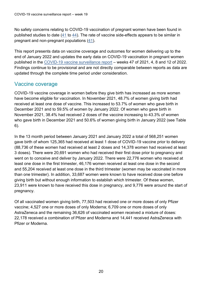No safety concerns relating to COVID-19 vaccination of pregnant women have been found in published studies to date [\(41](#page-45-14) to [44\)](#page-45-14). The rate of vaccine side-effects appears to be similar in pregnant and non-pregnant populations [\(41\)](#page-45-14).

This report presents data on vaccine coverage and outcomes for women delivering up to the end of January 2022 and updates the early data on COVID-19 vaccination in pregnant women published in the [COVID-19 vaccine surveillance report](https://www.gov.uk/government/publications/covid-19-vaccine-weekly-surveillance-reports) – weeks 47 of 2021, 4, 8 and 12 of 2022. Findings continue to be provisional and are not directly comparable between reports as data are updated through the complete time period under consideration.

#### Vaccine coverage

COVID-19 vaccine coverage in women before they give birth has increased as more women have become eligible for vaccination. In November 2021, 48.7% of women giving birth had received at least one dose of vaccine. This increased to 53.7% of women who gave birth in December 2021 and to 59.5% of women by January 2022. Of women who gave birth in November 2021, 38.4% had received 2 doses of the vaccine increasing to 43.3% of women who gave birth in December 2021 and 50.6% of women giving birth in January 2022 (see Table 6).

In the 13 month period between January 2021 and January 2022 a total of 568,251 women gave birth of whom 125,365 had received at least 1 dose of COVID-19 vaccine prior to delivery (88,736 of these women had received at least 2 doses and 14,378 women had received at least 3 doses). There were 20,691 women who had received their first dose prior to pregnancy and went on to conceive and deliver by January 2022. There were 22,776 women who received at least one dose in the first trimester, 46,176 women received at least one dose in the second and 55,204 received at least one dose in the third trimester (women may be vaccinated in more than one trimester). In addition, 33,687 women were known to have received dose one before giving birth but without enough information to establish which trimester. Of these women, 23,911 were known to have received this dose in pregnancy, and 9,776 were around the start of pregnancy.

Of all vaccinated women giving birth, 77,503 had received one or more doses of only Pfizer vaccine; 4,527 one or more doses of only Moderna; 6,709 one or more doses of only AstraZeneca and the remaining 36,626 of vaccinated women received a mixture of doses: 22,178 received a combination of Pfizer and Moderna and 14,441 received AstraZeneca with Pfizer or Moderna.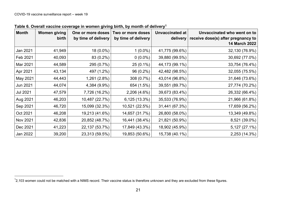| <b>Month</b>    | Women giving<br>birth | One or more doses<br>by time of delivery | Two or more doses<br>by time of delivery | <b>Unvaccinated at</b><br>delivery | Unvaccinated who went on to<br>receive dose(s) after pregnancy to<br><b>14 March 2022</b> |
|-----------------|-----------------------|------------------------------------------|------------------------------------------|------------------------------------|-------------------------------------------------------------------------------------------|
| Jan 2021        | 41,949                | $18(0.0\%)$                              | $1(0.0\%)$                               | 41,775 (99.6%)                     | 32,130 (76.9%)                                                                            |
| Feb 2021        | 40,093                | 83 (0.2%)                                | $0(0.0\%)$                               | 39,880 (99.5%)                     | 30,692 (77.0%)                                                                            |
| Mar 2021        | 44,589                | 295 (0.7%)                               | $25(0.1\%)$                              | 44,173 (99.1%)                     | 33,754 (76.4%)                                                                            |
| Apr 2021        | 43,134                | 497 (1.2%)                               | 96 (0.2%)                                | 42,482 (98.5%)                     | 32,055 (75.5%)                                                                            |
| May 2021        | 44,443                | $1,261(2.8\%)$                           | 308 (0.7%)                               | 43,014 (96.8%)                     | 31,646 (73.6%)                                                                            |
| Jun 2021        | 44,074                | 4,384 (9.9%)                             | 654 (1.5%)                               | 39,551 (89.7%)                     | 27,774 (70.2%)                                                                            |
| <b>Jul 2021</b> | 47,579                | 7,726 (16.2%)                            | 2,206 (4.6%)                             | 39,673 (83.4%)                     | 26,332 (66.4%)                                                                            |
| Aug 2021        | 46,203                | 10,487 (22.7%)                           | 6,125 (13.3%)                            | 35,533 (76.9%)                     | 21,966 (61.8%)                                                                            |
| Sep 2021        | 46,720                | 15,099 (32.3%)                           | 10,521 (22.5%)                           | 31,441 (67.3%)                     | 17,659 (56.2%)                                                                            |
| Oct 2021        | 46,208                | 19,213 (41.6%)                           | 14,657 (31.7%)                           | 26,800 (58.0%)                     | 13,349 (49.8%)                                                                            |
| Nov 2021        | 42,836                | 20,852 (48.7%)                           | 16,441 (38.4%)                           | 21,821 (50.9%)                     | 8,521 (39.0%)                                                                             |
| Dec 2021        | 41,223                | 22,137 (53.7%)                           | 17,849 (43.3%)                           | 18,902 (45.9%)                     | 5,127 (27.1%)                                                                             |
| Jan 2022        | 39,200                | 23,313 (59.5%)                           | 19,853 (50.6%)                           | 15,738 (40.1%)                     | 2,253 (14.3%)                                                                             |

**Table 6. Overall vaccine coverage in women giving birth, by month of delivery<sup>1</sup>**

<span id="page-20-0"></span> $^{\text{1}}$ 2,103 women could not be matched with a NIMS record. Their vaccine status is therefore unknown and they are excluded from these figures.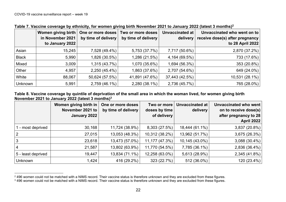|                | Women giving birth<br>in November 2021<br>to January 2022 | One or more doses<br>by time of delivery | Two or more doses<br>by time of delivery | <b>Unvaccinated at</b><br>delivery | Unvaccinated who went on to<br>receive dose(s) after pregnancy<br>to 28 April 2022 |
|----------------|-----------------------------------------------------------|------------------------------------------|------------------------------------------|------------------------------------|------------------------------------------------------------------------------------|
| Asian          | 15,245                                                    | 7,528 (49.4%)                            | 5,753 (37.7%)                            | 7,717 (50.6%)                      | 2,870 (37.2%)                                                                      |
| <b>Black</b>   | 5,990                                                     | 1,826 (30.5%)                            | 1,286 (21.5%)                            | 4,164 (69.5%)                      | 733 (17.6%)                                                                        |
| Mixed          | 3,009                                                     | 1,315 (43.7%)                            | 1,070 (35.6%)                            | 1,694 (56.3%)                      | 353 (20.8%)                                                                        |
| Other          | 4,957                                                     | 2,250 (45.4%)                            | 1,863 (37.6%)                            | 2,707 (54.6%)                      | 649 (24.0%)                                                                        |
| White          | 88,067                                                    | 50,624 (57.5%)                           | 41,891 (47.6%)                           | 37,443 (42.5%)                     | 10,531 (28.1%)                                                                     |
| <b>Unknown</b> | 5,991                                                     | 2,759 (46.1%)                            | 2,280 (38.1%)                            | 2,736 (45.7%)                      | 765 (28.0%)                                                                        |

**Table 7. Vaccine coverage by ethnicity, for women giving birth November 2021 to January 2022 (latest 3 months) 2**

#### **Table 8. Vaccine coverage by quintile of deprivation of the small area in which the woman lived, for women giving birth November 2021 to January 2022 (latest 3 months) 3**

|                    | Women giving birth in<br>November 2021 to<br>January 2022 | One or more doses<br>by time of delivery | Two or more<br>doses by time<br>of delivery | Unvaccinated at<br>delivery | Unvaccinated who went<br>on to receive dose(s)<br>after pregnancy to 28<br><b>April 2022</b> |
|--------------------|-----------------------------------------------------------|------------------------------------------|---------------------------------------------|-----------------------------|----------------------------------------------------------------------------------------------|
| 1 - most deprived  | 30,168                                                    | 11,724 (38.9%)                           | 8,303 (27.5%)                               | $18,444(61.1\%)$            | 3,837 (20.8%)                                                                                |
| $\overline{2}$     | 27,015                                                    | 13,053 (48.3%)                           | 10,312 (38.2%)                              | 13,962 (51.7%)              | 3,675 (26.3%)                                                                                |
| 3                  | 23,618                                                    | 13,473 (57.0%)                           | 11,177 (47.3%)                              | 10,145 (43.0%)              | 3,088 (30.4%)                                                                                |
| 4                  | 21,587                                                    | 13,802 (63.9%)                           | 11,770 (54.5%)                              | 7,785 (36.1%)               | 2,836 (36.4%)                                                                                |
| 5 - least deprived | 19,447                                                    | 13,834 (71.1%)                           | 12,258 (63.0%)                              | 5,613 (28.9%)               | 2,345 (41.8%)                                                                                |
| <b>Unknown</b>     | 1,424                                                     | 416 (29.2%)                              | 323 (22.7%)                                 | 512 (36.0%)                 | 120 (23.4%)                                                                                  |

<span id="page-21-0"></span><sup>&</sup>lt;sup>2</sup> 496 women could not be matched with a NIMS record. Their vaccine status is therefore unknown and they are excluded from these figures.

<sup>&</sup>lt;sup>3</sup> 496 women could not be matched with a NIMS record. Their vaccine status is therefore unknown and they are excluded from these figures.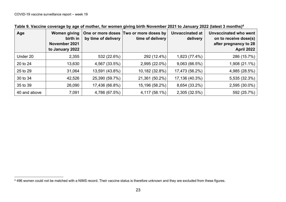| Age          | <b>Women giving</b><br>birth in<br>November 2021<br>to January 2022 | by time of delivery | One or more doses Two or more doses by<br>time of delivery | <b>Unvaccinated at</b><br>delivery | Unvaccinated who went<br>on to receive dose(s)<br>after pregnancy to 28<br><b>April 2022</b> |
|--------------|---------------------------------------------------------------------|---------------------|------------------------------------------------------------|------------------------------------|----------------------------------------------------------------------------------------------|
| Under 20     | 2,355                                                               | 532 (22.6%)         | 292 (12.4%)                                                | 1,823 (77.4%)                      | 286 (15.7%)                                                                                  |
| 20 to 24     | 13,630                                                              | 4,567 (33.5%)       | 2,995 (22.0%)                                              | 9,063 (66.5%)                      | 1,908 (21.1%)                                                                                |
| 25 to 29     | 31,064                                                              | 13,591 (43.8%)      | 10,182 (32.8%)                                             | 17,473 (56.2%)                     | 4,985 (28.5%)                                                                                |
| 30 to 34     | 42,526                                                              | 25,390 (59.7%)      | 21,361 (50.2%)                                             | 17,136 (40.3%)                     | 5,535 (32.3%)                                                                                |
| 35 to 39     | 26,090                                                              | 17,436 (66.8%)      | 15,196 (58.2%)                                             | 8,654 (33.2%)                      | 2,595 (30.0%)                                                                                |
| 40 and above | 7,091                                                               | 4,786 (67.5%)       | 4,117 (58.1%)                                              | 2,305 (32.5%)                      | 592 (25.7%)                                                                                  |

**Table 9. Vaccine coverage by age of mother, for women giving birth November 2021 to January 2022 (latest 3 months) 4**

<span id="page-22-0"></span><sup>&</sup>lt;sup>4</sup> 496 women could not be matched with a NIMS record. Their vaccine status is therefore unknown and they are excluded from these figures.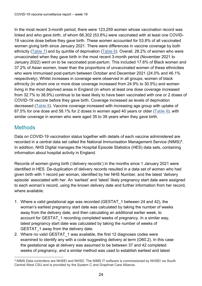In the most recent 3-month period, there were 123,259 women whose vaccination record was linked and who gave birth, of whom 66,302 (53.8%) were vaccinated with at least one COVID-19 vaccine dose before they gave birth. These women accounted for 53.8% of all vaccinated women giving birth since January 2021. There were differences in vaccine coverage by both ethnicity [\(Table 7](#page-20-0)) and by quintile of deprivation [\(Table 8](#page-21-0)). Overall, 28.2% of women who were unvaccinated when they gave birth in the most recent 3-month period (November 2021 to January 2022) went on to be vaccinated post-partum. This included 17.6% of Black women and 37.2% of Asian women, lower than the proportions of unvaccinated women of these ethnicities who were immunised post-partum between October and December 2021 (24.0% and 46.1% respectively). Whilst increases in coverage were observed in all groups, women of black ethnicity (in whom one or more dose coverage increased from 24.9% to 30.5%) and women living in the most deprived areas in England (in whom at least one dose coverage increased from 32.7% to 38.9%) continue to be least likely to have been vaccinated with one or 2 doses of COVID-19 vaccine before they gave birth. Coverage increased as levels of deprivation decreased [\(Table 8](#page-21-0)). Vaccine coverage increased with increasing age group with uptake of 67.5% for one dose and 58.1% for 2 doses in women aged 40 years or older [\(Table 9](#page-22-0)), with similar coverage in women who were aged 35 to 39 years when they gave birth.

### **Methods**

Data on COVID-19 vaccination status together with details of each vaccine administered are recorded in a central data set called the National Immunisation Management Service (NIMS) $^5$ . In addition, NHS Digital manages the Hospital Episode Statistics (HES) data sets, containing information about hospital activity in England.

Records of women giving birth ('delivery records') in the months since 1 January 2021 were identified in HES. De-duplication of delivery records resulted in a data set of women who had given birth with 1 record per woman, identified by her NHS Number, and the latest 'delivery episode' associated with her. An 'earliest' and 'latest' likely pregnancy start date were assigned to each woman's record, using the known delivery date and further information from her record, where available:

- 1. Where a valid gestational age was recorded (GESTAT\_1 between 24 and 42), the woman's earliest pregnancy start date was calculated by taking the number of weeks away from the delivery date, and then calculating an additional earlier week, to account for GESTAT\_1 recording completed weeks of pregnancy. In a similar way, latest pregnancy start date was calculated by taking the number of weeks of GESTAT 1 away from the delivery date.
- 2. Where no valid GESTAT 1 was available, the first 12 diagnoses codes were examined to identify any with a code suggesting delivery at term (O60.2). In this case the gestational age at delivery was assumed to be between 37 and 42 completed weeks of pregnancy, and a similar method was used to establish earliest and latest

<sup>5</sup> NIMS Data controllers are NHSEI and NHSD. The NIMS IT software is commissioned by NHSEI via South Central West CSU and is provided by the System C and Graphnet Care Alliance.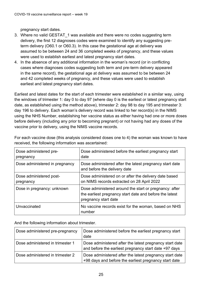pregnancy start dates.

- 3. Where no valid GESTAT 1 was available and there were no codes suggesting term delivery, the first 12 diagnoses codes were examined to identify any suggesting preterm delivery (O60.1 or O60.3). In this case the gestational age at delivery was assumed to be between 24 and 36 completed weeks of pregnancy, and these values were used to establish earliest and latest pregnancy start dates.
- 4. In the absence of any additional information in the woman's record (or in conflicting cases where diagnoses codes suggesting both term and pre-term delivery appeared in the same record), the gestational age at delivery was assumed to be between 24 and 42 completed weeks of pregnancy, and these values were used to establish earliest and latest pregnancy start dates.

Earliest and latest dates for the start of each trimester were established in a similar way, using the windows of trimester 1: day 0 to day 97 (where day 0 is the earliest or latest pregnancy start date, as established using the method above), trimester 2: day 98 to day 195 and trimester 3: day 196 to delivery. Each woman's delivery record was linked to her record(s) in the NIMS using the NHS Number, establishing her vaccine status as either having had one or more doses before delivery (including any prior to becoming pregnant) or not having had any doses of the vaccine prior to delivery, using the NIMS vaccine records.

| Dose administered pre-<br>pregnancy  | Dose administered before the earliest pregnancy start<br>date                                                                             |
|--------------------------------------|-------------------------------------------------------------------------------------------------------------------------------------------|
| Dose administered in pregnancy       | Dose administered after the latest pregnancy start date<br>and before the delivery date                                                   |
| Dose administered post-<br>pregnancy | Dose administered on or after the delivery date based<br>on NIMS records extracted on 28 April 2022                                       |
| Dose in pregnancy: unknown           | Dose administered around the start or pregnancy: after<br>the earliest pregnancy start date and before the latest<br>pregnancy start date |
| Unvaccinated                         | No vaccine records exist for the woman, based on NHS<br>number                                                                            |

For each vaccine dose (this analysis considered doses one to 4) the woman was known to have received, the following information was ascertained:

And the following information about trimester.

| Dose administered pre-pregnancy  | Dose administered before the earliest pregnancy start<br>date                                                    |
|----------------------------------|------------------------------------------------------------------------------------------------------------------|
| Dose administered in trimester 1 | Dose administered after the latest pregnancy start date<br>and before the earliest pregnancy start date +97 days |
| Dose administered in trimester 2 | Dose administered after the latest pregnancy start date<br>+98 days and before the earliest pregnancy start date |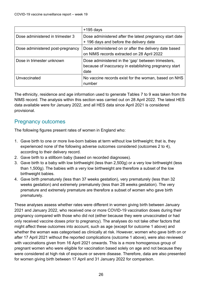|                                  | $+195$ days                                                                                                         |
|----------------------------------|---------------------------------------------------------------------------------------------------------------------|
| Dose administered in trimester 3 | Dose administered after the latest pregnancy start date<br>+ 196 days and before the delivery date                  |
| Dose administered post-pregnancy | Dose administered on or after the delivery date based<br>on NIMS records extracted on 28 April 2022                 |
| Dose in trimester unknown        | Dose administered in the 'gap' between trimesters,<br>because of inaccuracy in establishing pregnancy start<br>date |
| Unvaccinated                     | No vaccine records exist for the woman, based on NHS<br>number                                                      |

The ethnicity, residence and age information used to generate Tables 7 to 9 was taken from the NIMS record. The analysis within this section was carried out on 28 April 2022. The latest HES data available were for January 2022, and all HES data since April 2021 is considered provisional.

#### Pregnancy outcomes

The following figures present rates of women in England who:

- 1. Gave birth to one or more live-born babies at term without low birthweight; that is, they experienced none of the following adverse outcomes considered (outcomes 2 to 4), according to their delivery record.
- 2. Gave birth to a stillborn baby (based on recorded diagnoses).
- 3. Gave birth to a baby with low birthweight (less than 2,500g) or a very low birthweight (less than 1,500g). The babies with a very low birthweight are therefore a subset of the low birthweight babies.
- 4. Gave birth prematurely (less than 37 weeks gestation), very prematurely (less than 32 weeks gestation) and extremely prematurely (less than 28 weeks gestation). The very premature and extremely premature are therefore a subset of women who gave birth prematurely.

These analyses assess whether rates were different in women giving birth between January 2021 and January 2022, who received one or more COVID-19 vaccination doses during their pregnancy compared with those who did not (either because they were unvaccinated or had only received vaccine doses prior to pregnancy). The analyses do not take other factors that might affect these outcomes into account, such as age (except for outcome 1 above) and whether the woman was categorised as clinically at risk. However, women who gave birth on or after 17 April 2021 without the reported complications (outcome 1 above), were also reviewed with vaccinations given from 16 April 2021 onwards. This is a more homogenous group of pregnant women who were eligible for vaccination based solely on age and not because they were considered at high risk of exposure or severe disease. Therefore, data are also presented for women giving birth between 17 April and 31 January 2022 for comparison.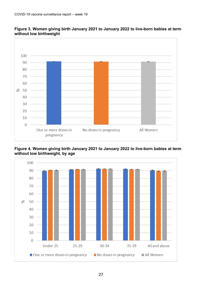

<span id="page-26-0"></span>

<span id="page-26-1"></span>**Figure 4. Women giving birth January 2021 to January 2022 to live-born babies at term without low birthweight, by age**

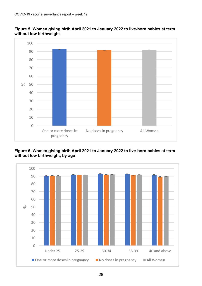

<span id="page-27-0"></span>**Figure 5. Women giving birth April 2021 to January 2022 to live-born babies at term without low birthweight**

#### <span id="page-27-1"></span>**Figure 6. Women giving birth April 2021 to January 2022 to live-born babies at term without low birthweight, by age**

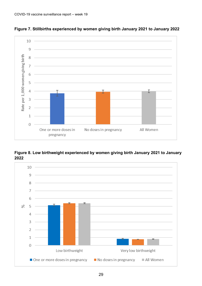

<span id="page-28-0"></span>**Figure 7. Stillbirths experienced by women giving birth January 2021 to January 2022**

<span id="page-28-1"></span>**Figure 8. Low birthweight experienced by women giving birth January 2021 to January 2022**

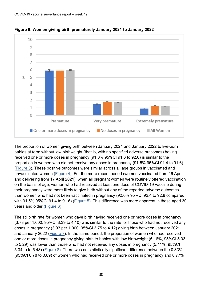

<span id="page-29-0"></span>**Figure 9. Women giving birth prematurely January 2021 to January 2022**

The proportion of women giving birth between January 2021 and January 2022 to live-born babies at term without low birthweight (that is, with no specified adverse outcomes) having received one or more doses in pregnancy (91.8% 95%CI 91.6 to 92.0) is similar to the proportion in women who did not receive any doses in pregnancy (91.5% 95%CI 91.4 to 91.6) [\(Figure 3](#page-26-0)). These positive outcomes were similar across all age groups in vaccinated and unvaccinated women [\(Figure 4](#page-26-1)). For the more recent period (women vaccinated from 16 April and delivering from 17 April 2021), when all pregnant women were routinely offered vaccination on the basis of age, women who had received at least one dose of COVID-19 vaccine during their pregnancy were more likely to give birth without any of the reported adverse outcomes than women who had not been vaccinated in pregnancy (92.6% 95%CI 92.4 to 92.8 compared with 91.5% 95%CI 91.4 to 91.6) [\(Figure 5](#page-27-0)). This difference was more apparent in those aged 30 years and older [\(Figure 6](#page-27-1)).

The stillbirth rate for women who gave birth having received one or more doses in pregnancy (3.73 per 1,000, 95%CI 3.39 to 4.10) was similar to the rate for those who had not received any doses in pregnancy (3.93 per 1,000, 95%CI 3.75 to 4.12) giving birth between January 2021 and January 2022 [\(Figure 7](#page-28-0)). In the same period, the proportion of women who had received one or more doses in pregnancy giving birth to babies with low birthweight (5.16%, 95%CI 5.03 to 5.29) was lower than those who had not received any doses in pregnancy (5.41%, 95%CI 5.34 to to 5.48) (Figure 8). There was no statistically significant difference between the 0.83% (95%CI 0.78 to 0.89) of women who had received one or more doses in pregnancy and 0.77%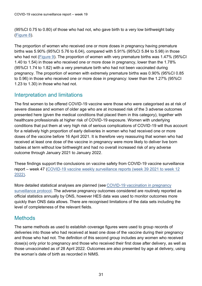(95%CI 0.75 to 0.80) of those who had not, who gave birth to a very low birthweight baby [\(Figure 8](#page-28-1)).

The proportion of women who received one or more doses in pregnancy having premature births was 5.90% (95%CI 5.76 to 6.04), compared with 5.91% (95%CI 5.84 to 5.98) in those who had not [\(Figure 9](#page-29-0)). The proportion of women with very premature births was 1.47% (95%CI 1.40 to 1.54) in those who received one or more dose in pregnancy, lower than the 1.78% (95%CI 1.74 to 1.82) with a very premature birth who had not been vaccinated during pregnancy. The proportion of women with extremely premature births was 0.90% (95%CI 0.85 to 0.96) in those who received one or more dose in pregnancy: lower than the 1.27% (95%CI 1.23 to 1.30) in those who had not.

### Interpretation and limitations

The first women to be offered COVID-19 vaccine were those who were categorised as at risk of severe disease and women of older age who are at increased risk of the 3 adverse outcomes presented here (given the medical conditions that placed them in this category), together with healthcare professionals at higher risk of COVID-19 exposure. Women with underlying conditions that put them at very high risk of serious complications of COVID-19 will thus account for a relatively high proportion of early deliveries in women who had received one or more doses of the vaccine before 16 April 2021. It is therefore very reassuring that women who had received at least one dose of the vaccine in pregnancy were more likely to deliver live born babies at term without low birthweight and had no overall increased risk of any adverse outcome through January 2021 to January 2022.

These findings support the conclusions on vaccine safety from COVID-19 vaccine surveillance report – week 47 [\(COVID-19 vaccine weekly surveillance reports \(week 39](https://www.gov.uk/government/publications/covid-19-vaccine-weekly-surveillance-reports) 2021 to week 12 [2022\).](https://www.gov.uk/government/publications/covid-19-vaccine-weekly-surveillance-reports)

[More](https://www.gov.uk/government/collections/covid-19-vaccination-programme#surveillance) [detailed statistical analyses are planned](https://www.gov.uk/government/collections/covid-19-vaccination-programme#surveillance) (see [COVID-19 vaccination in pregnancy](https://assets.publishing.service.gov.uk/government/uploads/system/uploads/attachment_data/file/1036033/UKHSA-Covid-19-pregnancy-surveillance-protocol.pdf)  [surveillance protocol.](https://assets.publishing.service.gov.uk/government/uploads/system/uploads/attachment_data/file/1036033/UKHSA-Covid-19-pregnancy-surveillance-protocol.pdf) The adverse pregnancy outcomes considered are routinely reported as official statistics annually by ONS, however HES data was used to monitor outcomes more quickly than ONS data allows. There are recognised limitations of the data sets including the level of completeness of the relevant fields.

### **Methods**

The same methods as used to establish coverage figures were used to group records of deliveries into those who had received at least one dose of the vaccine during their pregnancy and those who had not. The definition of this second group includes any women who received dose(s) only prior to pregnancy and those who received their first dose after delivery, as well as those unvaccinated as of 28 April 2022. Outcomes are also presented by age at delivery, using the woman's date of birth as recorded in NIMS.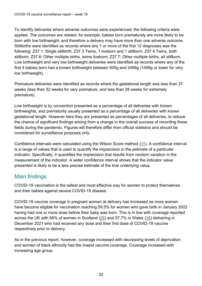To identify deliveries where adverse outcomes were experienced; the following criteria were applied. The outcomes are related: for example, babies born prematurely are more likely to be born with low birthweight, and therefore a delivery may have more than one adverse outcome. Stillbirths were identified as records where any 1 or more of the first 12 diagnoses was the following: Z37.1: Single stillbirth; Z37.3 Twins, 1 liveborn and 1 stillborn; Z37.4 Twins, both stillborn; Z37.6: Other multiple births, some liveborn; Z37.7: Other multiple births, all stillborn. Low birthweight and very low birthweight deliveries were identified as records where any of the first 4 babies born had a known birthweight between 500g and 2499g (1499g or lower for very low birthweight).

Premature deliveries were identified as records where the gestational length was less than 37 weeks (less than 32 weeks for very premature, and less than 28 weeks for extremely premature).

Low birthweight is by convention presented as a percentage of all deliveries with known birthweights, and prematurity usually presented as a percentage of all deliveries with known gestational length. However here they are presented as percentages of all deliveries, to reduce the chance of significant findings arising from a change in the overall success of recording these fields during the pandemic. Figures will therefore differ from official statistics and should be considered for surveillance purposes only.

Confidence intervals were calculated using the Wilson Score method [\(45\)](#page-46-0). A confidence interval is a range of values that is used to quantify the imprecision in the estimate of a particular indicator. Specifically, it quantifies the imprecision that results from random variation in the measurement of the indicator. A wider confidence interval shows that the indicator value presented is likely to be a less precise estimate of the true underlying value.

### Main findings

COVID-19 vaccination is the safest and most effective way for women to protect themselves and their babies against severe COVID-19 disease.

COVID-19 vaccine coverage in pregnant women at delivery has increased as more women have become eligible for vaccination reaching 59.5% for women who gave birth in January 2022 having had one or more dose before their baby was born. This is in line with coverage reported across the UK with 56% of women in Scotland [\(26\)](#page-45-1) and 57.7% in Wales [\(38\)](#page-45-11) delivering in December 2021 who had received any dose and their first dose of COVID-19 vaccine respectively prior to delivery.

As in the previous report, however, coverage increased with decreasing levels of deprivation and women of black ethnicity had the lowest vaccine coverage. Coverage increased with increasing age group.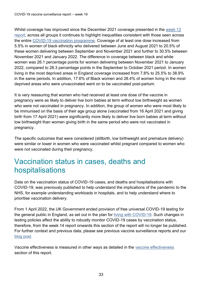Whilst coverage has improved since the December 2021 coverage presented in the [week 12](https://www.gov.uk/government/publications/covid-19-vaccine-weekly-surveillance-reports) [report,](https://www.gov.uk/government/publications/covid-19-vaccine-weekly-surveillance-reports) across all groups it continues to highlight inequalities consistent with those seen across the entire [COVID-19 vaccination programme.](https://eur01.safelinks.protection.outlook.com/?url=https%3A%2F%2Fwww.england.nhs.uk%2Fstatistics%2Fwp-content%2Fuploads%2Fsites%2F2%2F2022%2F01%2FCOVID-19-monthly-announced-vaccinations-13-January-2022.xlsx&data=04%7C01%7CHelen.Campbell%40phe.gov.uk%7C3d076e967cfc4416274a08d9e0d41571%7Cee4e14994a354b2ead475f3cf9de8666%7C0%7C0%7C637788023754122968%7CUnknown%7CTWFpbGZsb3d8eyJWIjoiMC4wLjAwMDAiLCJQIjoiV2luMzIiLCJBTiI6Ik1haWwiLCJXVCI6Mn0%3D%7C3000&sdata=U2ZIZ5omq224TsPMwDmK6eVObWRrv31KLij9vZzaZD4%3D&reserved=0) Coverage of at least one dose increased from 5.5% in women of black ethnicity who delivered between June and August 2021 to 20.5% of these women delivering between September and November 2021 and further to 30.5% between November 2021 and January 2022. The difference in coverage between black and white women was 26.1 percentage points for women delivering between November 2021 to January 2022, compared to 28.3 percentage points in the September to October 2021 period. In women living in the most deprived areas in England coverage increased from 7.8% to 25.5% to 38.9% in the same periods. In addition, 17.6% of Black women and 28.4% of women living in the most deprived areas who were unvaccinated went on to be vaccinated post-partum.

It is very reassuring that women who had received at least one dose of the vaccine in pregnancy were as likely to deliver live born babies at term without low birthweight as women who were not vaccinated in pregnancy. In addition, the group of women who were most likely to be immunised on the basis of their age group alone (vaccinated from 16 April 2021 and giving birth from 17 April 2021) were significantly more likely to deliver live born babies at term without low birthweight than women giving birth in the same period who were not vaccinated in pregnancy.

The specific outcomes that were considered (stillbirth, low birthweight and premature delivery) were similar or lower in women who were vaccinated whilst pregnant compared to women who were not vaccinated during their pregnancy.

### <span id="page-32-0"></span>Vaccination status in cases, deaths and hospitalisations

Data on the vaccination status of COVID-19 cases, and deaths and hospitalisations with COVID-19, was previously published to help understand the implications of the pandemic to the NHS, for example understanding workloads in hospitals, and to help understand where to prioritise vaccination delivery.

From 1 April 2022, the UK Government ended provision of free universal COVID-19 testing for the general public in England, as set out in the plan for [living with COVID-19.](https://www.gov.uk/government/publications/covid-19-response-living-with-covid-19) Such changes in testing policies affect the ability to robustly monitor COVID-19 cases by vaccination status, therefore, from the week 14 report onwards this section of the report will no longer be published. For further context and previous data, please see previous vaccine surveillance reports and our [blog post.](https://ukhsa.blog.gov.uk/2021/11/02/transparency-and-data-ukhsas-vaccines-report/)

Vaccine effectiveness is measured in other ways as detailed in the [vaccine effectiveness](#page-3-0) section of this report.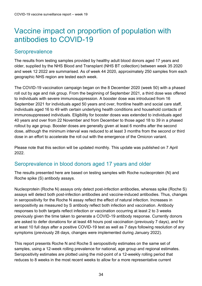### <span id="page-33-0"></span>Vaccine impact on proportion of population with antibodies to COVID-19

#### **Seroprevalence**

The results from testing samples provided by healthy adult blood donors aged 17 years and older, supplied by the NHS Blood and Transplant (NHS BT collection) between week 35 2020 and week 12 2022 are summarised. As of week 44 2020, approximately 250 samples from each geographic NHS region are tested each week.

The COVID-19 vaccination campaign began on the 8 December 2020 (week 50) with a phased roll out by age and risk group. From the beginning of September 2021, a third dose was offered to individuals with severe immunosuppression. A booster dose was introduced from 16 September 2021 for individuals aged 50 years and over, frontline health and social care staff, individuals aged 16 to 49 with certain underlying health conditions and household contacts of immunosuppressed individuals. Eligibility for booster doses was extended to individuals aged 40 years and over from 22 November and from December to those aged 18 to 39 in a phased rollout by age group. Booster doses are generally given at least 6 months after the second dose, although the minimum interval was reduced to at least 3 months from the second or third dose in an effort to accelerate the roll out with the emergence of the Omicron variant.

Please note that this section will be updated monthly. This update was published on 7 April 2022.

### Seroprevalence in blood donors aged 17 years and older

The results presented here are based on testing samples with Roche nucleoprotein (N) and Roche spike (S) antibody assays.

Nucleoprotein (Roche N) assays only detect post-infection antibodies, whereas spike (Roche S) assays will detect both post-infection antibodies and vaccine-induced antibodies. Thus, changes in seropositivity for the Roche N assay reflect the effect of natural infection. Increases in seropositivity as measured by S antibody reflect both infection and vaccination. Antibody responses to both targets reflect infection or vaccination occurring at least 2 to 3 weeks previously given the time taken to generate a COVID-19 antibody response. Currently donors are asked to defer donations for at least 48 hours post vaccination (previously 7 days), and for at least 10 full days after a positive COVID-19 test as well as 7 days following resolution of any symptoms (previously 28 days, changes were implemented during January 2022).

This report presents Roche N and Roche S seropositivity estimates on the same set of samples, using a 12-week rolling prevalence for national, age group and regional estimates. Seropositivity estimates are plotted using the mid-point of a 12-weekly rolling period that reduces to 8 weeks in the most recent weeks to allow for a more representative current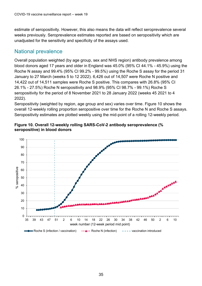estimate of seropositivity. However, this also means the data will reflect seroprevalence several weeks previously. Seroprevalence estimates reported are based on seropositivity which are unadjusted for the sensitivity and specificity of the assays used.

#### National prevalence

Overall population weighted (by age group, sex and NHS region) antibody prevalence among blood donors aged 17 years and older in England was 45.0% (95% CI 44.1% - 45.9%) using the Roche N assay and 99.4% (95% CI 99.2% - 99.5%) using the Roche S assay for the period 31 January to 27 March (weeks 5 to 12 2022). 6,426 out of 14,507 were Roche N positive and 14,422 out of 14,511 samples were Roche S positive. This compares with 26.8% (95% CI 26.1% - 27.5%) Roche N seropositivity and 98.9% (95% CI 98.7% - 99.1%) Roche S seropositivity for the period of 8 November 2021 to 28 January 2022 (weeks 45 2021 to 4 2022).

Seropositivity (weighted by region, age group and sex) varies over time. Figure 10 shows the overall 12-weekly rolling proportion seropositive over time for the Roche N and Roche S assays. Seropositivity estimates are plotted weekly using the mid-point of a rolling 12-weekly period.



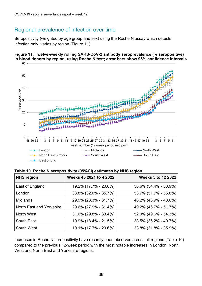### Regional prevalence of infection over time

Seropositivity (weighted by age group and sex) using the Roche N assay which detects infection only, varies by region (Figure 11).

<span id="page-35-0"></span>



| <b>NHS region</b>        | Weeks 45 2021 to 4 2022 | <b>Weeks 5 to 12 2022</b> |
|--------------------------|-------------------------|---------------------------|
| East of England          | 19.2% (17.7% - 20.8%)   | 36.6% (34.4% - 38.9%)     |
| London                   | 33.8% (32.0% - 35.7%)   | 53.7% (51.7% - 55.8%)     |
| <b>Midlands</b>          | 29.9% (28.3% - 31.7%)   | 46.2% (43.9% - 48.6%)     |
| North East and Yorkshire | 29.6% (27.9% - 31.4%)   | 49.2% (46.7% - 51.7%)     |
| North West               | 31.6% (29.8% - 33.4%)   | 52.0% (49.6% - 54.3%)     |
| South East               | 19.9% (18.4% - 21.5%)   | 38.5% (36.2% - 40.7%)     |
| South West               | 19.1% (17.7% - 20.6%)   | 33.8% (31.8% - 35.9%)     |

Increases in Roche N seropositivity have recently been observed across all regions (Table 10) compared to the previous 12-week period with the most notable increases in London, North West and North East and Yorkshire regions.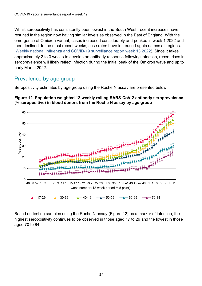Whilst seropositivity has consistently been lowest in the South West, recent increases have resulted in the region now having similar levels as observed in the East of England. With the emergence of Omicron variant, cases increased considerably and peaked in week 1 2022 and then declined. In the most recent weeks, case rates have increased again across all regions. ([Weekly national Influenza and COVID-19 surveillance report week 13 2022\)](https://www.gov.uk/government/statistics/national-flu-and-covid-19-surveillance-reports-2021-to-2022-season). Since it takes approximately 2 to 3 weeks to develop an antibody response following infection, recent rises in seroprevalence will likely reflect infection during the initial peak of the Omicron wave and up to early March 2022.

#### Prevalence by age group

Seropositivity estimates by age group using the Roche N assay are presented below.





Based on testing samples using the Roche N assay (Figure 12) as a marker of infection, the highest seropositivity continues to be observed in those aged 17 to 29 and the lowest in those aged 70 to 84.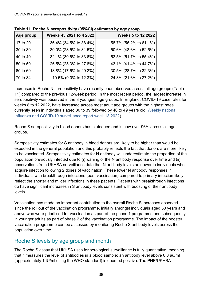| Age group | Weeks 45 2021 to 4 2022 | <b>Weeks 5 to 12 2022</b> |
|-----------|-------------------------|---------------------------|
| 17 to 29  | 36.4% (34.5% to 38.4%)  | 58.7% (56.2% to 61.1%)    |
| 30 to 39  | 30.0% (28.5% to 31.5%)  | 50.6% (48.6% to 52.5%)    |
| 40 to 49  | 32.1% (30.6% to 33.6%)  | 53.5% (51.7% to 55.4%)    |
| 50 to 59  | 26.5% (25.3% to 27.8%)  | 43.1% (41.4% to 44.7%)    |
| 60 to 69  | 18.8% (17.6% to 20.2%)  | 30.5% (28.7% to 32.3%)    |
| 70 to 84  | 10.5% (9.0% to 12.3%)   | 24.3% (21.6% to 27.2%)    |

**Table 11. Roche N seropositivity (95%CI) estimates by age group** 

Increases in Roche N seropositivity have recently been observed across all age groups (Table 11) compared to the previous 12-week period. In the most recent period, the largest increase in seropositivity was observed in the 3 youngest age groups. In England, COVID-19 case rates for weeks 8 to 12 2022, have increased across most adult age groups with the highest rates currently seen in individuals aged 30 to 39 followed by 40 to 49 years old ([Weekly national](https://www.gov.uk/government/statistics/national-flu-and-covid-19-surveillance-reports-2021-to-2022-season)  [Influenza and COVID-19 surveillance report week 13 2022\)](https://www.gov.uk/government/statistics/national-flu-and-covid-19-surveillance-reports-2021-to-2022-season).

Roche S seropositivity in blood donors has plateaued and is now over 96% across all age groups.

Seropositivity estimates for S antibody in blood donors are likely to be higher than would be expected in the general population and this probably reflects the fact that donors are more likely to be vaccinated. Seropositivity estimates for N antibody will underestimate the proportion of the population previously infected due to (i) waning of the N antibody response over time and (ii) observations from UKHSA surveillance data that N antibody levels are lower in individuals who acquire infection following 2 doses of vaccination. These lower N antibody responses in individuals with breakthrough infections (post-vaccination) compared to primary infection likely reflect the shorter and milder infections in these patients. Patients with breakthrough infections do have significant increases in S antibody levels consistent with boosting of their antibody levels.

Vaccination has made an important contribution to the overall Roche S increases observed since the roll out of the vaccination programme, initially amongst individuals aged 50 years and above who were prioritised for vaccination as part of the phase 1 programme and subsequently in younger adults as part of phase 2 of the vaccination programme. The impact of the booster vaccination programme can be assessed by monitoring Roche S antibody levels across the population over time.

### Roche S levels by age group and month

The Roche S assay that UKHSA uses for serological surveillance is fully quantitative, meaning that it measures the level of antibodies in a blood sample: an antibody level above 0.8 au/ml (approximately 1 IU/ml using the WHO standard) is deemed positive. The PHE/UKHSA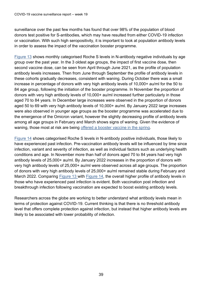surveillance over the past few months has found that over 98% of the population of blood donors test positive for S-antibodies, which may have resulted from either COVID-19 infection or vaccination. With such high seropositivity, it is important to look at population antibody levels in order to assess the impact of the vaccination booster programme.

[Figure 13](#page-38-0) shows monthly categorised Roche S levels in N-antibody negative individuals by age group over the past year. In the 3 oldest age groups, the impact of first vaccine dose, then second vaccine dose, can be seen from April through June 2021, as the profile of population antibody levels increases. Then from June through September the profile of antibody levels in these cohorts gradually decreases, consistent with waning. During October there was a small increase in percentage of donors with very high antibody levels of 10,000+ au/ml for the 50 to 84 age group, following the initiation of the booster programme. In November the proportion of donors with very high antibody levels of 10,000+ au/ml increased further particularly in those aged 70 to 84 years. In December large increases were observed in the proportion of donors aged 50 to 69 with very high antibody levels of 10,000+ au/ml. By January 2022 large increases were also observed in younger age groups as the booster programme was accelerated due to the emergence of the Omicron variant, however the slightly decreasing profile of antibody levels among all age groups in February and March shows signs of waning. Given the evidence of waning, those most at risk are being [offered a booster vaccine in the spring.](https://www.gov.uk/government/publications/covid-19-vaccination-spring-booster-resources/a-guide-to-the-spring-booster-for-those-aged-75-years-and-older-residents-in-care-homes)

[Figure 14](#page-39-0) shows categorised Roche S levels in N-antibody positive individuals, those likely to have experienced past infection. Pre-vaccination antibody levels will be influenced by time since infection, variant and severity of infection, as well as individual factors such as underlying health conditions and age. In November more than half of donors aged 70 to 84 years had very high antibody levels of 25,000+ au/ml. By January 2022 increases in the proportion of donors with very high antibody levels of 25,000+ au/ml were observed across all age groups. The proportion of donors with very high antibody levels of 25,000+ au/ml remained stable during February and March 2022. Comparing [Figure 13](#page-38-0) with [Figure 14](#page-39-0), the overall higher profile of antibody levels in those who have experienced past infection is evident. Both vaccination post infection and breakthrough infection following vaccination are expected to boost existing antibody levels.

<span id="page-38-0"></span>Researchers across the globe are working to better understand what antibody levels mean in terms of protection against COVID-19. Current thinking is that there is no threshold antibody level that offers complete protection against infection, but instead that higher antibody levels are likely to be associated with lower probability of infection.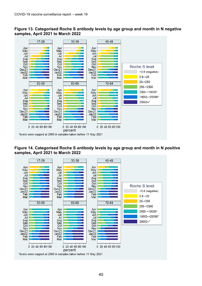



<span id="page-39-0"></span>**Figure 14. Categorised Roche S antibody levels by age group and month in N positive samples, April 2021 to March 2022**

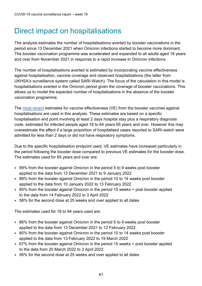### <span id="page-40-0"></span>Direct impact on hospitalisations

The analysis estimates the number of hospitalisations averted by booster vaccinations in the period since 13 December 2021 when Omicron infections started to become more dominant. The booster vaccination programme was accelerated and expanded to all adults aged 18 years and over from November 2021 in response to a rapid increase in Omicron infections.

The number of hospitalisations averted is estimated by incorporating vaccine effectiveness against hospitalisation, vaccine coverage and observed hospitalisations (the latter from UKHSA's surveillance system called SARI-Watch). The focus of the calculation in this model is hospitalisations averted in the Omicron period given the coverage of booster vaccinations. This allows us to model the expected number of hospitalisations in the absence of the booster vaccination programme.

The [most recent](https://www.medrxiv.org/content/10.1101/2022.04.01.22273281v1.full.pdf) estimates for vaccine effectiveness (VE) from the booster vaccines against hospitalisations are used in this analysis. These estimates are based on a specific hospitalisation end point involving at least 2 days hospital stay plus a respiratory diagnosis code, estimated for infected people aged 18 to 64 years 65 years and over. However this may overestimate the effect if a large proportion of hospitalised cases reported to SARI-watch were admitted for less than 2 days or did not have respiratory symptoms.

Due to the specific hospitalisation endpoint used, VE estimates have increased particularly in the period following the booster dose compared to previous VE estimates for the booster dose. The estimates used for 65 years and over are:

- 89% from the booster against Omicron in the period 5 to 9 weeks post booster applied to the data from 13 December 2021 to 9 January 2022
- 88% from the booster against Omicron in the period 10 to 14 weeks post booster applied to the data from 10 January 2022 to 13 February 2022
- 85% from the booster against Omicron in the period 15 weeks + post booster applied to the data from 14 February 2022 to 3 April 2022
- 58% for the second dose at 25 weeks and over applied to all dates

The estimates used for 18 to 64 years used are:

- 86% from the booster against Omicron in the period 5 to 9 weeks post booster applied to the data from 13 December 2021 to 12 February 2022
- 80% from the booster against Omicron in the period 10 to 14 weeks post booster applied to the data from 13 February 2022 to 19 March 2022
- 67% from the booster against Omicron in the period 15 weeks + post booster applied to the data from 20 March 2022 to 3 April 2022
- 56% for the second dose at 25 weeks and over applied to all dates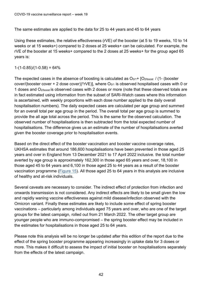The same estimates are applied to the data for 25 to 44 years and 45 to 64 years

Using these estimates, the relative effectiveness (rVE) of the booster (at 5 to 19 weeks, 10 to 14 weeks or at 15 weeks+) compared to 2 doses at 25 weeks+ can be calculated. For example, the rVE of the booster at 15 weeks+ compared to the 2 doses at 25 weeks+ for the group aged 65 years is:

 $1-(1-0.85)/(1-0.58) = 64\%$ 

The expected cases in the absence of boosting is calculated as  $O<sub>0/1</sub>$ + [O<sub>2/boost</sub> / (1- (booster cover/(booster cover + 2 dose cover))\*rVE)], where  $O<sub>0/1</sub>$  is observed hospitalised cases with 0 or 1 doses and O2/boost is observed cases with 2 doses or more (note that these observed totals are in fact estimated using information from the subset of SARI-Watch cases where this information is ascertained, with weekly proportions with each dose number applied to the daily overall hospitalisation numbers). The daily expected cases are calculated per age group and summed for an overall total per age group in the period. The overall total per age group is summed to provide the all age total across the period. This is the same for the observed calculation. The observed number of hospitalisations is then subtracted from the total expected number of hospitalisations. The difference gives us an estimate of the number of hospitalisations averted given the booster coverage prior to hospitalisation events.

Based on the direct effect of the booster vaccination and booster vaccine coverage rates, UKHSA estimates that around 186,600 hospitalisations have been prevented in those aged 25 years and over in England from 13 December 2021 to 17 April 2022 inclusive. the total number averted by age group is approximately 162,300 in those aged 65 years and over, 18,100 in those aged 45 to 64 years and 6,100 in those aged 25 to 44 years as a result of the booster vaccination programme [\(Figure 15](#page-42-0)). All those aged 25 to 64 years in this analysis are inclusive of healthy and at-risk individuals.

Several caveats are necessary to consider. The indirect effect of protection from infection and onwards transmission is not considered. Any indirect effects are likely to be small given the low and rapidly waning vaccine effectiveness against mild disease/infection observed with the Omicron variant. Finally these estimates are likely to include some effect of spring booster vaccinations – particularly among individuals aged 75 years and over, who are one of the target groups for the latest campaign, rolled out from 21 March 2022. The other target group are younger people who are immuno-compromised – the spring booster effect may be included in the estimates for hospitalisations in those aged 25 to 64 years.

Please note this analysis will be no longer be updated after this edition of the report due to the effect of the spring booster programme appearing increasingly in uptake data for 3 doses or more. This makes it difficult to assess the impact of initial booster on hospitalisations separately from the effects of the latest campaign.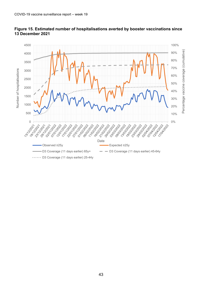

#### <span id="page-42-0"></span>**Figure 15. Estimated number of hospitalisations averted by booster vaccinations since 13 December 2021**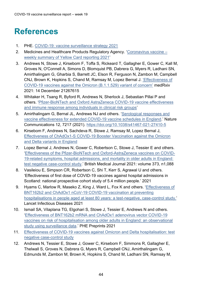### <span id="page-43-0"></span>**References**

- <span id="page-43-1"></span>1. PHE. [COVID-19: vaccine surveillance strategy 2021](https://www.gov.uk/government/publications/covid-19-vaccine-surveillance-strategy)
- <span id="page-43-2"></span>2. Medicines and Healthcare Products Regulatory Agency. ['Coronavirus vaccine –](https://www.gov.uk/government/publications/coronavirus-covid-19-vaccine-adverse-reactions/coronavirus-vaccine-summary-of-yellow-card-reporting) [weekly summary of Yellow Card reporting 2021'](https://www.gov.uk/government/publications/coronavirus-covid-19-vaccine-adverse-reactions/coronavirus-vaccine-summary-of-yellow-card-reporting)
- <span id="page-43-3"></span>3. Andrews N, Stowe J, Kirsebom F, Toffa S, Rickeard T, Gallagher E, Gower C, Kall M, Groves N, O'Connell A, Simons D, Blomquist PB, Dabrera G, Myers R, Ladhani SN, Amirthalingam G, Gharbia S, Barrett JC, Elson R, Ferguson N, Zambon M, Campbell CNJ, Brown K, Hopkins S, Chand M, Ramsay M, Lopez Bernal J. ['Effectiveness of](file://///COLHPAFIL003/ProjectData/Proj_Resp/Flu/Flu%20COVID%20Surveillance/Vaccine%20surveillance%20report/1.%09https:/www.medrxiv.org/content/10.1101/2021.12.14.21267615v1.article-info)  COVID-19 vaccines against [the Omicron \(B.1.1.529\) variant of concern'](file://///COLHPAFIL003/ProjectData/Proj_Resp/Flu/Flu%20COVID%20Surveillance/Vaccine%20surveillance%20report/1.%09https:/www.medrxiv.org/content/10.1101/2021.12.14.21267615v1.article-info) medRxiv 2021: 14 December 21267615
- <span id="page-43-4"></span>4. Whitaker H, Tsang R, Byford R, Andrews N, Sherlock J, Sebastian Pillai P and others. ['Pfizer-BioNTech and Oxford AstraZeneca COVID-19 vaccine effectiveness](https://www.sciencedirect.com/science/article/pii/S0163445321006642?v=s5)  [and immune response among individuals in clinical risk groups'](https://www.sciencedirect.com/science/article/pii/S0163445321006642?v=s5)
- <span id="page-43-5"></span>5. Amirthalingam G, Bernal JL, Andrews NJ and others. ['Serological responses and](https://www.nature.com/articles/s41467-021-27410-5)  [vaccine effectiveness for extended COVID-19 vaccine schedules in England.](https://www.nature.com/articles/s41467-021-27410-5)' Nature Communications 12, 7217 (2021).<https://doi.org/10.1038/s41467-021-27410-5>
- 6. Kirsebom F, Andrews N, Sachdeva R, Stowe J, Ramsay M, Lopez Bernal J, [Effectiveness of ChAdOx1-S COVID-19 Booster Vaccination against the Omicron](https://www.gov.uk/guidance/monitoring-reports-of-the-effectiveness-of-covid-19-vaccination)  [and Delta variants in England](https://www.gov.uk/guidance/monitoring-reports-of-the-effectiveness-of-covid-19-vaccination)
- <span id="page-43-6"></span>7. Lopez Bernal J, Andrews N, Gower C, Robertson C, Stowe J, Tessier E and others. ['Effectiveness of the Pfizer-BioNTech and Oxford-AstraZeneca vaccines on COVID-](https://www.bmj.com/content/373/bmj.n1088)[19-related symptoms, hospital admissions, and mortality in older adults in England:](https://www.bmj.com/content/373/bmj.n1088)  [test negative case-control study.](https://www.bmj.com/content/373/bmj.n1088)' British Medical Journal 2021: volume 373, n1,088
- 8. Vasileiou E, Simpson CR, Robertson C, Shi T, Kerr S, Agrawal U and others. 'Effectiveness of first dose of COVID-19 vaccines against hospital admissions in Scotland: national prospective cohort study of 5.4 million people.' 2021
- 9. Hyams C, Marlow R, Maseko Z, King J, Ward L, Fox K and others. ['Effectiveness of](file:///C:/Users/Simon.Port/Documents/GOV-9196%20Covid%20surveillance%20report%20-%20week%2030/1.%09https:/www.thelancet.com/pdfs/journals/laninf/PIIS1473-3099(21)00330-3.pdf)  [BNT162b2 and ChAdOx1 nCoV-19 COVID-19 vaccination at preventing](file:///C:/Users/Simon.Port/Documents/GOV-9196%20Covid%20surveillance%20report%20-%20week%2030/1.%09https:/www.thelancet.com/pdfs/journals/laninf/PIIS1473-3099(21)00330-3.pdf)  [hospitalisations in people aged at least 80 years: a test-negative, case-control study.'](file:///C:/Users/Simon.Port/Documents/GOV-9196%20Covid%20surveillance%20report%20-%20week%2030/1.%09https:/www.thelancet.com/pdfs/journals/laninf/PIIS1473-3099(21)00330-3.pdf) Lancet Infectious Diseases 2021
- 10. Ismail SA, Vilaplana TG, Elgohari S, Stowe J, Tessier E, Andrews N and others. ['Effectiveness of BNT162b2 mRNA and ChAdOx1 adenovirus vector COVID-19](https://khub.net/documents/135939561/430986542/Effectiveness+of+BNT162b2+mRNA+and+ChAdOx1+adenovirus+vector+COVID-19+vaccines+on+risk+of+hospitalisation+among+older+adults+in+England.pdf/9e18c525-dde6-5ee4-1537-91427798686b)  [vaccines on risk of hospitalisation among older adults in England: an observational](https://khub.net/documents/135939561/430986542/Effectiveness+of+BNT162b2+mRNA+and+ChAdOx1+adenovirus+vector+COVID-19+vaccines+on+risk+of+hospitalisation+among+older+adults+in+England.pdf/9e18c525-dde6-5ee4-1537-91427798686b)  [study using surveillance data.](https://khub.net/documents/135939561/430986542/Effectiveness+of+BNT162b2+mRNA+and+ChAdOx1+adenovirus+vector+COVID-19+vaccines+on+risk+of+hospitalisation+among+older+adults+in+England.pdf/9e18c525-dde6-5ee4-1537-91427798686b)' PHE Preprints 2021
- <span id="page-43-7"></span>11. [Effectiveness of COVID-19 vaccines against Omicron and Delta hospitalisation: test](https://www.gov.uk/guidance/monitoring-reports-of-the-effectiveness-of-covid-19-vaccination)  [negative case-control study](https://www.gov.uk/guidance/monitoring-reports-of-the-effectiveness-of-covid-19-vaccination)
- 12. Andrews N, Tessier E, Stowe J, Gower C, Kirsebom F, Simmons R, Gallagher E, Thelwall S, Groves N, Dabrera G, Myers R, Campbell CNJ, Amirthalingam G, Edmunds M, Zambon M, Brown K, Hopkins S, Chand M, Ladhani SN, Ramsay M,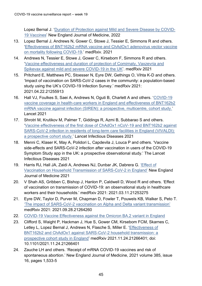Lopez Bernal J. ['Duration of Protection against Mild and Severe Disease by COVID-](https://www.nejm.org/doi/full/10.1056/NEJMoa2115481)[19 Vaccines'](https://www.nejm.org/doi/full/10.1056/NEJMoa2115481) New England Journal of Medicine, 2022

- <span id="page-44-0"></span>13. Lopez Bernal J, Andrews N, Gower C, Stowe J, Tessier E, Simmons R and others. ['Effectiveness of BNT162b2 mRNA vaccine and ChAdOx1 adenovirus vector vaccine](https://www.medrxiv.org/content/10.1101/2021.05.14.21257218v1)  [on mortality following COVID-19.](https://www.medrxiv.org/content/10.1101/2021.05.14.21257218v1)' medRxiv. 2021
- <span id="page-44-1"></span>14. Andrews N, Tessier E, Stowe J, Gower C, Kirsebom F, Simmons R and others. ['Vaccine effectiveness and duration of protection of Comirnaty, Vaxzevria and](https://www.medrxiv.org/content/10.1101/2021.09.15.21263583v2)  [Spikevax against mild and severe COVID-19 in the UK'](https://www.medrxiv.org/content/10.1101/2021.09.15.21263583v2). medRxiv 2021
- <span id="page-44-2"></span>15. Pritchard E, Matthews PC, Stoesser N, Eyre DW, Gethings O, Vihta K-D and others. 'Impact of vaccination on SARS-CoV-2 cases in the community: a population-based study using the UK's COVID-19 Infection Survey.' medRxiv 2021: 2021.04.22.21255913
- 16. Hall VJ, Foulkes S, Saei A, Andrews N, Oguti B, Charlett A and others. ['COVID-19](https://www.thelancet.com/journals/lancet/article/PIIS0140-6736(21)00790-X/fulltext)  [vaccine coverage in health-care workers in England and effectiveness of BNT162b2](https://www.thelancet.com/journals/lancet/article/PIIS0140-6736(21)00790-X/fulltext)  [mRNA vaccine against infection \(SIREN\): a prospective, multicentre, cohort study.](https://www.thelancet.com/journals/lancet/article/PIIS0140-6736(21)00790-X/fulltext)' Lancet 2021
- 17. Shrotri M, Krutikov M, Palmer T, Giddings R, Azmi B, Subbarao S and others. ['Vaccine effectiveness of the first dose of ChAdOx1 nCoV-19 and BNT162b2 against](https://www.thelancet.com/action/showPdf?pii=S1473-3099%2821%2900289-9)  [SARS-CoV-2 infection in residents of long-term care facilities in England \(VIVALDI\):](https://www.thelancet.com/action/showPdf?pii=S1473-3099%2821%2900289-9)  [a prospective cohort study.](https://www.thelancet.com/action/showPdf?pii=S1473-3099%2821%2900289-9)' Lancet Infectious Diseases 2021
- 18. Menni C, Klaser K, May A, Polidori L, Capdevila J, Louca P and others. 'Vaccine side-effects and SARS-CoV-2 infection after vaccination in users of the COVID-19 Symptom Study app in the UK: a prospective observational study.' The Lancet Infectious Diseases 2021
- <span id="page-44-3"></span>19. Harris RJ, Hall JA, Zaidi A, Andrews NJ, Dunbar JK, Dabrera G. 'Effect of [Vaccination on Household Transmission of SARS-CoV-2 in England'](https://www.nejm.org/doi/pdf/10.1056/NEJMc2107717?articleTools=true) New England Journal of Medicine 2021
- 20. V Shah AS, Gribben C, Bishop J, Hanlon P, Caldwell D, Wood R and others. 'Effect of vaccination on transmission of COVID-19: an observational study in healthcare workers and their households.' medRxiv 2021: 2021.03.11.21253275
- 21. Eyre DW, Taylor D, Purver M, Chapman D, Fowler T, Pouwels KB, Walker S, Peto T. ['The impact of SARS-CoV-2 vaccination on Alpha and](https://www.medrxiv.org/content/10.1101/2021.09.28.21264260v1) Delta variant transmission' medRxiv 2021: 2021.09.28.21264260
- <span id="page-44-4"></span>22. [COVID-19 Vaccine Effectiveness against the Omicron BA.2 variant in England](https://www.gov.uk/guidance/monitoring-reports-of-the-effectiveness-of-covid-19-vaccination)
- 23. Clifford S, Waight P, Hackman J, Hue S, Gower CM, Kirsebom FCM, Skarnes C, Letley L, Lopez Bernal J, Andrews N, Flasche S, Miller E. ['Effectiveness of](https://www.medrxiv.org/content/10.1101/2021.11.24.21266401v2)  [BNT162b2 and ChAdOx1 against SARS-CoV-2 household transmission: a](https://www.medrxiv.org/content/10.1101/2021.11.24.21266401v2)  [prospective cohort study in England'](https://www.medrxiv.org/content/10.1101/2021.11.24.21266401v2) medRxiv 2021.11.24.21266401; doi: 10.1101/2021.11.24.21266401
- <span id="page-44-5"></span>24. Zauche LH and others. 'Receipt of mRNA COVID-19 vaccines and risk of spontaneous abortion.' New England Journal of Medicine, 2021 volume 385, issue 16, pages 1,533-5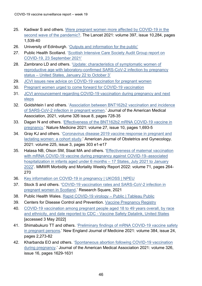- <span id="page-45-0"></span>25. Kadiwar S and others. [Were pregnant women more affected by COVID-19 in the](https://pubmed.ncbi.nlm.nih.gov/33864751/) [second wave of the pandemic?.](https://pubmed.ncbi.nlm.nih.gov/33864751/) The Lancet 2021: volume 397, issue 10,284, pages 1,539-40
- <span id="page-45-1"></span>26. University of Edinburgh. ['Outputs and information for the](https://www.ed.ac.uk/usher/eave-ii/covid-19-in-pregnancy-in-scotland/outputs) public'
- <span id="page-45-2"></span>27. Public Health Scotland. ['Scottish Intensive Care Society Audit Group report on](https://publichealthscotland.scot/publications/scottish-intensive-care-society-audit-group-report-on-covid-19/scottish-intensive-care-society-audit-group-report-on-covid-19-as-at-23-september-2021/) [COVID-19, 23 September](https://publichealthscotland.scot/publications/scottish-intensive-care-society-audit-group-report-on-covid-19/scottish-intensive-care-society-audit-group-report-on-covid-19-as-at-23-september-2021/) 2021'
- <span id="page-45-3"></span>28. Zambrano LD and others. ['Update: characteristics of symptomatic women of](https://pubmed.ncbi.nlm.nih.gov/33151921/) [reproductive age with laboratory-confirmed SARS-CoV-2 infection by pregnancy](https://pubmed.ncbi.nlm.nih.gov/33151921/) status – [United States, January 22](https://pubmed.ncbi.nlm.nih.gov/33151921/) to October 3'
- <span id="page-45-4"></span>29. JCVI issues new advice on COVID-19 vaccination for pregnant women
- <span id="page-45-5"></span>30. Pregnant women urged to come forward for COVID-19 vaccination
- <span id="page-45-6"></span>31. [JCVI announcement regarding COVID-19 vaccination during pregnancy and next](https://www.england.nhs.uk/coronavirus/documents/jcvi-announcement-regarding-covid-19-vaccination-during-pregnancy-and-next-steps/)  [steps](https://www.england.nhs.uk/coronavirus/documents/jcvi-announcement-regarding-covid-19-vaccination-during-pregnancy-and-next-steps/)
- <span id="page-45-7"></span>32. Goldshtein I and others. ['Association between BNT162b2 vaccination and](https://pubmed.ncbi.nlm.nih.gov/34251417/) [incidence](https://pubmed.ncbi.nlm.nih.gov/34251417/)  [of SARS-CoV-2 infection in](https://pubmed.ncbi.nlm.nih.gov/34251417/) pregnant women.' Journal of the American Medical Association, 2021, volume 326 issue 8, pages 728-35
- 33. Dagan N and others. ['Effectiveness of the BNT162b2 mRNA COVID-19 vaccine in](https://pubmed.ncbi.nlm.nih.gov/34493859/) [pregnancy.](https://pubmed.ncbi.nlm.nih.gov/34493859/)' Nature Medicine 2021: volume 27, issue 10, pages 1,693-5
- <span id="page-45-8"></span>34. Gray KJ and others. ['Coronavirus disease 2019 vaccine response in pregnant and](https://pubmed.ncbi.nlm.nih.gov/33775692/) [lactating women: a cohort study.](https://pubmed.ncbi.nlm.nih.gov/33775692/)' American Journal of Obstetrics and Gynecology. 2021: volume 225, issue 3, pages 303 e1-e17
- <span id="page-45-9"></span>35. Halasa NB, Olson SM, Staat MA and others. ['Effectiveness of maternal vaccination](https://www.cdc.gov/mmwr/volumes/71/wr/mm7107e3.htm#:~:text=What%20is%20added%20by%20this,%3D%2031%25%20to%2078%25).)  [with mRNA COVID-19 vaccine during pregnancy against COVID-19–associated](https://www.cdc.gov/mmwr/volumes/71/wr/mm7107e3.htm#:~:text=What%20is%20added%20by%20this,%3D%2031%25%20to%2078%25).)  [hospitalization in infants aged under 6 months](https://www.cdc.gov/mmwr/volumes/71/wr/mm7107e3.htm#:~:text=What%20is%20added%20by%20this,%3D%2031%25%20to%2078%25).) – 17 States, July 2021 to January [2022'](https://www.cdc.gov/mmwr/volumes/71/wr/mm7107e3.htm#:~:text=What%20is%20added%20by%20this,%3D%2031%25%20to%2078%25).). MMWR Morbidity and Mortality Weekly Report 2022: volume 71, pages 264- 270
- 36. [Key information on COVID-19 in pregnancy | UKOSS | NPEU](https://www.npeu.ox.ac.uk/ukoss/news/2172-covid-19-in-pregnancy)
- <span id="page-45-10"></span>37. Stock S and others. ['COVID-19 vaccination rates and SARS-CoV-2 infection in](https://www.researchsquare.com/article/rs-1051010/v1) [pregnant women in Scotland.](https://www.researchsquare.com/article/rs-1051010/v1)' Research Square, 2021
- <span id="page-45-11"></span>38. Public Health Wales. [Rapid COVID-19 virology –](https://public.tableau.com/app/profile/public.health.wales.health.protection/viz/RapidCOVID-19virology-Public/Vaccination) Public | Tableau Public
- <span id="page-45-12"></span>39. Centers for Disease Control and Prevention. [Vaccine Pregnancy](https://www.cdc.gov/coronavirus/2019-ncov/vaccines/safety/vsafepregnancyregistry.html#%3A%7E%3Atext%3DCDC%20is%20inviting%20people%20who%20received%20COVID-19%20vaccination%2Clike%20to%20participate%20must%20be%20enrolled%20in%20v-safe) Registry
- <span id="page-45-13"></span>40. [COVID-19 vaccination among pregnant people aged 18 to 49 years overall, by race](https://covid.cdc.gov/covid-data-tracker/#vaccinations-pregnant-women)  [and ethnicity, and date reported to CDC -](https://covid.cdc.gov/covid-data-tracker/#vaccinations-pregnant-women) Vaccine Safety Datalink, United States [accessed 3 May 2022]
- <span id="page-45-14"></span>41. Shimabukuro TT and others. ['Preliminary findings of mRNA COVID-19 vaccine](https://pubmed.ncbi.nlm.nih.gov/33882218/) [safety](https://pubmed.ncbi.nlm.nih.gov/33882218/)  [in pregnant persons.](https://pubmed.ncbi.nlm.nih.gov/33882218/)' New England Journal of Medicine 2021: volume 384, issue 24, pages 2,273-82
- 42. Kharbanda EO and others. ['Spontaneous abortion following COVID-19 vaccination](https://pubmed.ncbi.nlm.nih.gov/34495304/) [during pregnancy.](https://pubmed.ncbi.nlm.nih.gov/34495304/)' Journal of the American Medical Association 2021: volume 326, issue 16, pages 1629-1631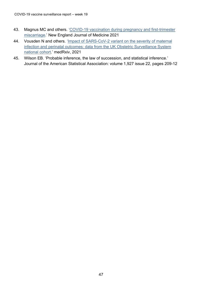- 43. Magnus MC and others. ['COVID-19 vaccination during pregnancy and first-trimester](https://pubmed.ncbi.nlm.nih.gov/34670062/)  [miscarriage.](https://pubmed.ncbi.nlm.nih.gov/34670062/)' New England Journal of Medicine 2021
- 44. Vousden N and others. ['Impact of SARS-CoV-2 variant on the severity of maternal](https://www.medrxiv.org/content/10.1101/2021.07.22.21261000v1) [infection and perinatal outcomes: data from the UK Obstetric Surveillance System](https://www.medrxiv.org/content/10.1101/2021.07.22.21261000v1) [national cohort.](https://www.medrxiv.org/content/10.1101/2021.07.22.21261000v1)' medRxiv, 2021
- <span id="page-46-0"></span>45. Wilson EB. 'Probable inference, the law of succession, and statistical inference.' Journal of the American Statistical Association: volume 1,927 issue 22, pages 209-12